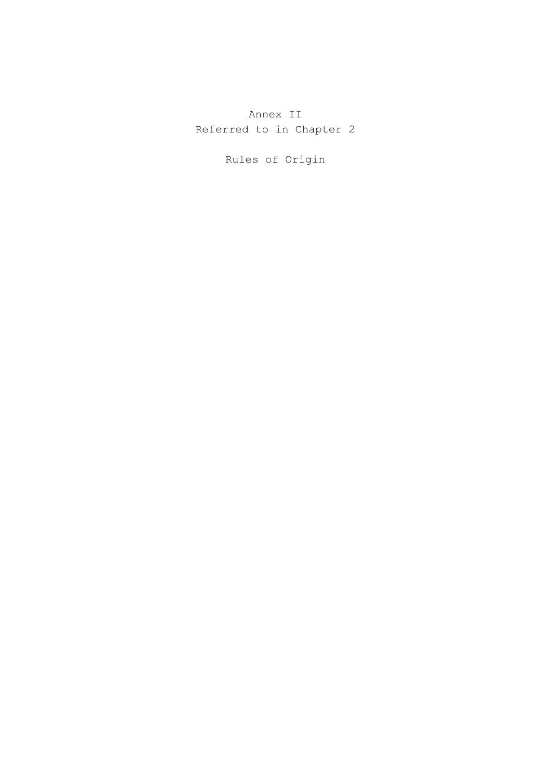Annex II Referred to in Chapter 2

Rules of Origin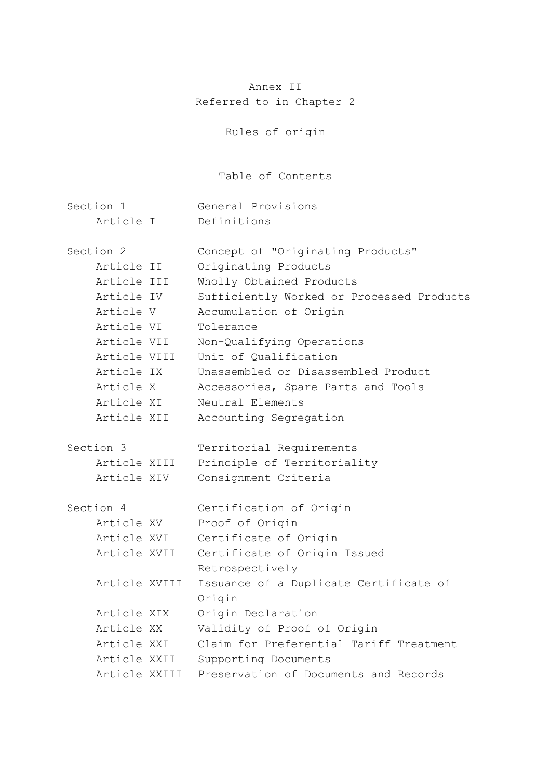# Annex II Referred to in Chapter 2

Rules of origin

Table of Contents

| Section 1            | General Provisions                               |
|----------------------|--------------------------------------------------|
| Article I            | Definitions                                      |
| Section <sub>2</sub> | Concept of "Originating Products"                |
| Article II           | Originating Products                             |
| Article III          | Wholly Obtained Products                         |
| Article IV           | Sufficiently Worked or Processed Products        |
| Article V            | Accumulation of Origin                           |
| Article VI           | Tolerance                                        |
| Article VII          | Non-Qualifying Operations                        |
| Article VIII         | Unit of Qualification                            |
| Article IX           | Unassembled or Disassembled Product              |
| Article X            | Accessories, Spare Parts and Tools               |
| Article XI           | Neutral Elements                                 |
| Article XII          | Accounting Segregation                           |
| Section 3            | Territorial Requirements                         |
| Article XIII         | Principle of Territoriality                      |
| Article XIV          | Consignment Criteria                             |
| Section 4            | Certification of Origin                          |
| Article XV           | Proof of Origin                                  |
| Article XVI          | Certificate of Origin                            |
| Article XVII         | Certificate of Origin Issued                     |
|                      | Retrospectively                                  |
| Article XVIII        | Issuance of a Duplicate Certificate of<br>Origin |
| Article XIX          | Origin Declaration                               |
| Article XX           | Validity of Proof of Origin                      |
| Article XXI          | Claim for Preferential Tariff Treatment          |
| Article XXII         | Supporting Documents                             |
| Article XXIII        | Preservation of Documents and Records            |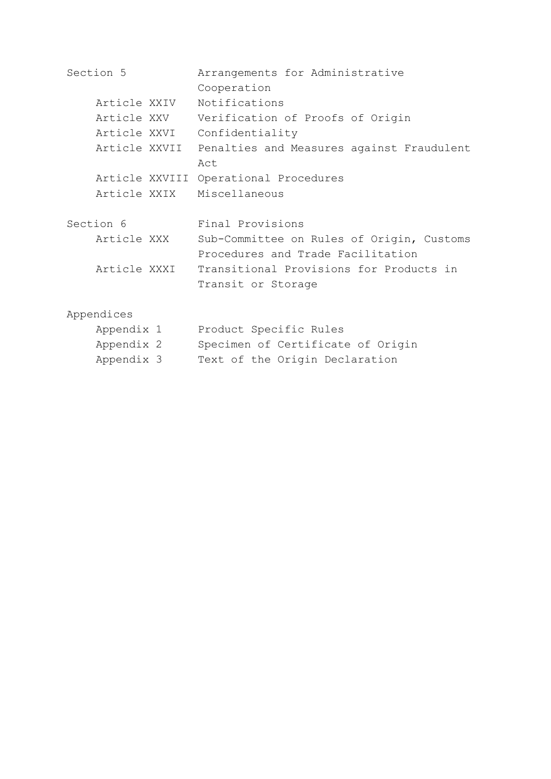| Section 5      | Arrangements for Administrative           |
|----------------|-------------------------------------------|
|                | Cooperation                               |
| Article XXIV   | Notifications                             |
| Article XXV    | Verification of Proofs of Origin          |
| Article XXVI   | Confidentiality                           |
| Article XXVII  | Penalties and Measures against Fraudulent |
|                | Act                                       |
| Article XXVIII | Operational Procedures                    |
| Article XXIX   | Miscellaneous                             |
|                |                                           |
| Section 6      | Final Provisions                          |
| Article XXX    | Sub-Committee on Rules of Origin, Customs |
|                | Procedures and Trade Facilitation         |
| Article XXXI   | Transitional Provisions for Products in   |
|                | Transit or Storage                        |
|                |                                           |
| Appendices     |                                           |
| Appendix 1     | Product Specific Rules                    |
| Appendix 2     |                                           |

Appendix 3 Text of the Origin Declaration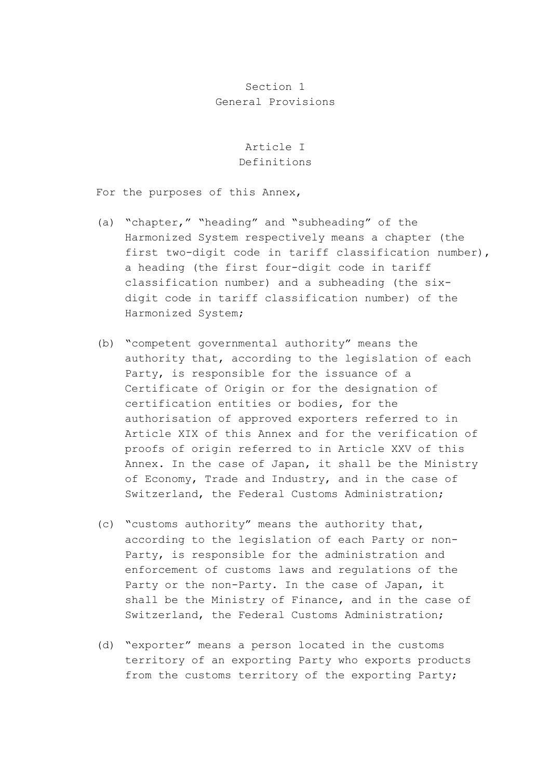#### Section 1 General Provisions

#### Article I Definitions

For the purposes of this Annex,

- (a) "chapter," "heading" and "subheading" of the Harmonized System respectively means a chapter (the first two-digit code in tariff classification number), a heading (the first four-digit code in tariff classification number) and a subheading (the sixdigit code in tariff classification number) of the Harmonized System;
- (b) "competent governmental authority" means the authority that, according to the legislation of each Party, is responsible for the issuance of a Certificate of Origin or for the designation of certification entities or bodies, for the authorisation of approved exporters referred to in Article XIX of this Annex and for the verification of proofs of origin referred to in Article XXV of this Annex. In the case of Japan, it shall be the Ministry of Economy, Trade and Industry, and in the case of Switzerland, the Federal Customs Administration;
- (c) "customs authority" means the authority that, according to the legislation of each Party or non-Party, is responsible for the administration and enforcement of customs laws and regulations of the Party or the non-Party. In the case of Japan, it shall be the Ministry of Finance, and in the case of Switzerland, the Federal Customs Administration;
- (d) "exporter" means a person located in the customs territory of an exporting Party who exports products from the customs territory of the exporting Party;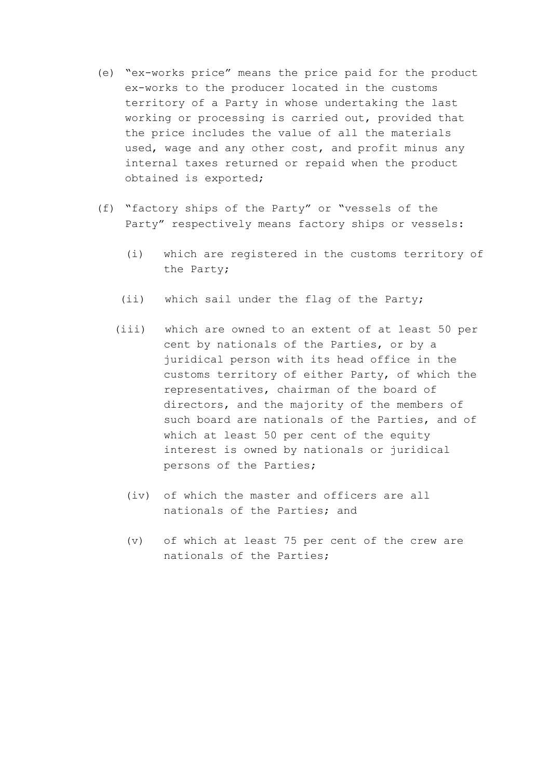- (e) "ex-works price" means the price paid for the product ex-works to the producer located in the customs territory of a Party in whose undertaking the last working or processing is carried out, provided that the price includes the value of all the materials used, wage and any other cost, and profit minus any internal taxes returned or repaid when the product obtained is exported;
- (f) "factory ships of the Party" or "vessels of the Party" respectively means factory ships or vessels:
	- (i) which are registered in the customs territory of the Party;
	- (ii) which sail under the flag of the Party;
	- (iii) which are owned to an extent of at least 50 per cent by nationals of the Parties, or by a juridical person with its head office in the customs territory of either Party, of which the representatives, chairman of the board of directors, and the majority of the members of such board are nationals of the Parties, and of which at least 50 per cent of the equity interest is owned by nationals or juridical persons of the Parties;
		- (iv) of which the master and officers are all nationals of the Parties; and
		- (v) of which at least 75 per cent of the crew are nationals of the Parties;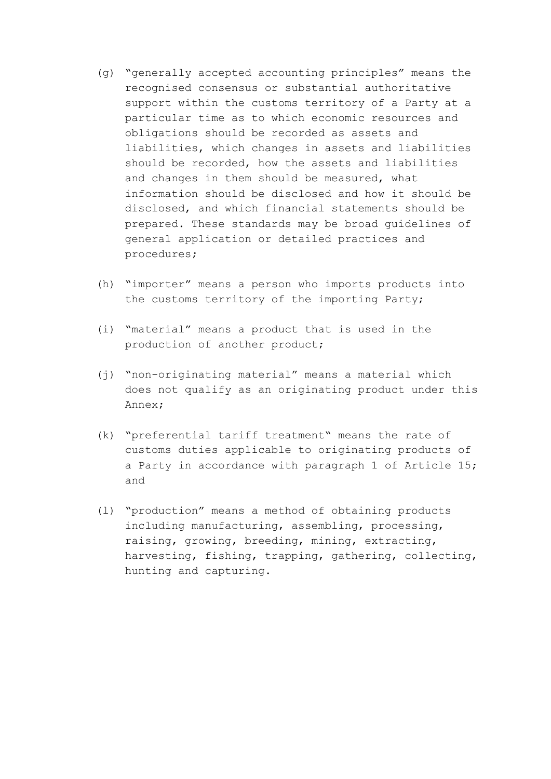- (g) "generally accepted accounting principles" means the recognised consensus or substantial authoritative support within the customs territory of a Party at a particular time as to which economic resources and obligations should be recorded as assets and liabilities, which changes in assets and liabilities should be recorded, how the assets and liabilities and changes in them should be measured, what information should be disclosed and how it should be disclosed, and which financial statements should be prepared. These standards may be broad guidelines of general application or detailed practices and procedures;
- (h) "importer" means a person who imports products into the customs territory of the importing Party;
- (i) "material" means a product that is used in the production of another product;
- (j) "non-originating material" means a material which does not qualify as an originating product under this Annex;
- (k) "preferential tariff treatment" means the rate of customs duties applicable to originating products of a Party in accordance with paragraph 1 of Article 15; and
- (l) "production" means a method of obtaining products including manufacturing, assembling, processing, raising, growing, breeding, mining, extracting, harvesting, fishing, trapping, gathering, collecting, hunting and capturing.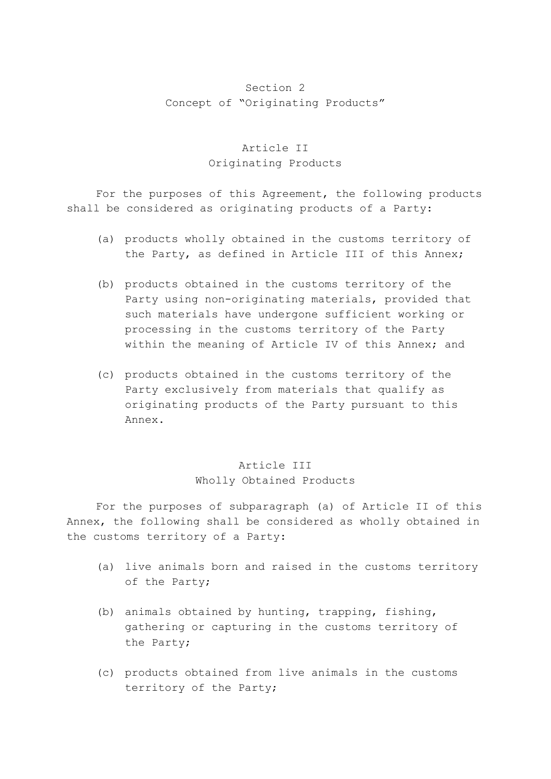### Section 2 Concept of "Originating Products"

# Article II Originating Products

 For the purposes of this Agreement, the following products shall be considered as originating products of a Party:

- (a) products wholly obtained in the customs territory of the Party, as defined in Article III of this Annex;
- (b) products obtained in the customs territory of the Party using non-originating materials, provided that such materials have undergone sufficient working or processing in the customs territory of the Party within the meaning of Article IV of this Annex; and
- (c) products obtained in the customs territory of the Party exclusively from materials that qualify as originating products of the Party pursuant to this Annex.

# Article III Wholly Obtained Products

 For the purposes of subparagraph (a) of Article II of this Annex, the following shall be considered as wholly obtained in the customs territory of a Party:

- (a) live animals born and raised in the customs territory of the Party;
- (b) animals obtained by hunting, trapping, fishing, gathering or capturing in the customs territory of the Party;
- (c) products obtained from live animals in the customs territory of the Party;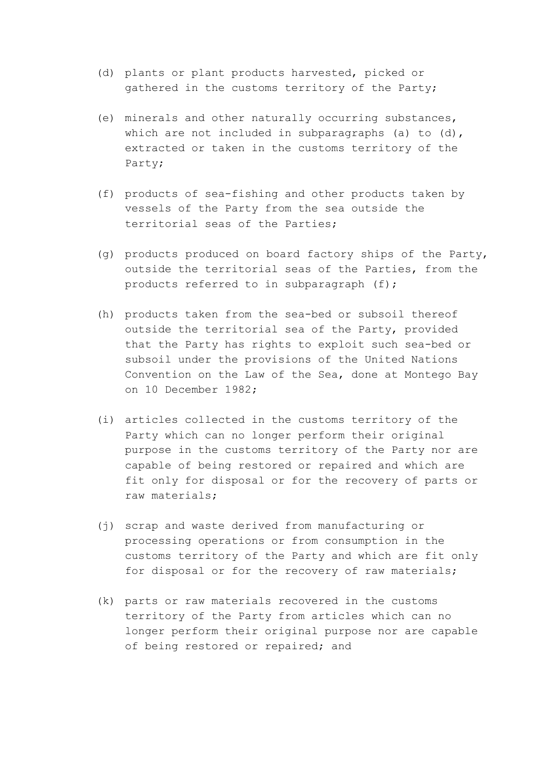- (d) plants or plant products harvested, picked or gathered in the customs territory of the Party;
- (e) minerals and other naturally occurring substances, which are not included in subparagraphs (a) to (d), extracted or taken in the customs territory of the Party;
- (f) products of sea-fishing and other products taken by vessels of the Party from the sea outside the territorial seas of the Parties;
- (g) products produced on board factory ships of the Party, outside the territorial seas of the Parties, from the products referred to in subparagraph (f);
- (h) products taken from the sea-bed or subsoil thereof outside the territorial sea of the Party, provided that the Party has rights to exploit such sea-bed or subsoil under the provisions of the United Nations Convention on the Law of the Sea, done at Montego Bay on 10 December 1982;
- (i) articles collected in the customs territory of the Party which can no longer perform their original purpose in the customs territory of the Party nor are capable of being restored or repaired and which are fit only for disposal or for the recovery of parts or raw materials;
- (j) scrap and waste derived from manufacturing or processing operations or from consumption in the customs territory of the Party and which are fit only for disposal or for the recovery of raw materials;
- (k) parts or raw materials recovered in the customs territory of the Party from articles which can no longer perform their original purpose nor are capable of being restored or repaired; and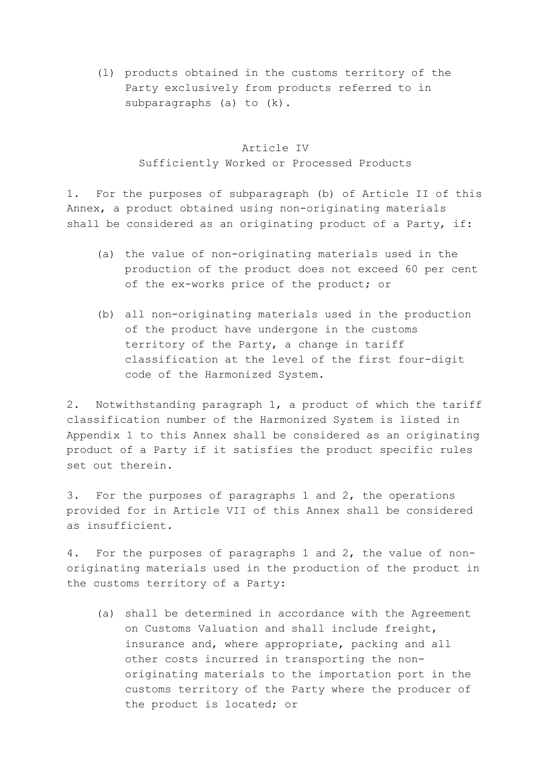(l) products obtained in the customs territory of the Party exclusively from products referred to in subparagraphs (a) to (k).

### Article IV Sufficiently Worked or Processed Products

1. For the purposes of subparagraph (b) of Article II of this Annex, a product obtained using non-originating materials shall be considered as an originating product of a Party, if:

- (a) the value of non-originating materials used in the production of the product does not exceed 60 per cent of the ex-works price of the product; or
- (b) all non-originating materials used in the production of the product have undergone in the customs territory of the Party, a change in tariff classification at the level of the first four-digit code of the Harmonized System.

2. Notwithstanding paragraph 1, a product of which the tariff classification number of the Harmonized System is listed in Appendix 1 to this Annex shall be considered as an originating product of a Party if it satisfies the product specific rules set out therein.

3. For the purposes of paragraphs 1 and 2, the operations provided for in Article VII of this Annex shall be considered as insufficient.

4. For the purposes of paragraphs 1 and 2, the value of nonoriginating materials used in the production of the product in the customs territory of a Party:

 (a) shall be determined in accordance with the Agreement on Customs Valuation and shall include freight, insurance and, where appropriate, packing and all other costs incurred in transporting the nonoriginating materials to the importation port in the customs territory of the Party where the producer of the product is located; or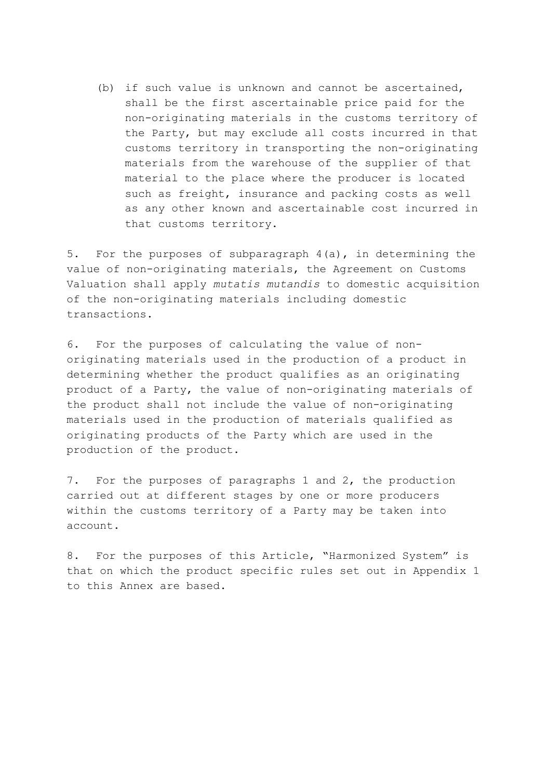(b) if such value is unknown and cannot be ascertained, shall be the first ascertainable price paid for the non-originating materials in the customs territory of the Party, but may exclude all costs incurred in that customs territory in transporting the non-originating materials from the warehouse of the supplier of that material to the place where the producer is located such as freight, insurance and packing costs as well as any other known and ascertainable cost incurred in that customs territory.

5. For the purposes of subparagraph 4(a), in determining the value of non-originating materials, the Agreement on Customs Valuation shall apply *mutatis mutandis* to domestic acquisition of the non-originating materials including domestic transactions.

6. For the purposes of calculating the value of nonoriginating materials used in the production of a product in determining whether the product qualifies as an originating product of a Party, the value of non-originating materials of the product shall not include the value of non-originating materials used in the production of materials qualified as originating products of the Party which are used in the production of the product.

7. For the purposes of paragraphs 1 and 2, the production carried out at different stages by one or more producers within the customs territory of a Party may be taken into account.

8. For the purposes of this Article, "Harmonized System" is that on which the product specific rules set out in Appendix 1 to this Annex are based.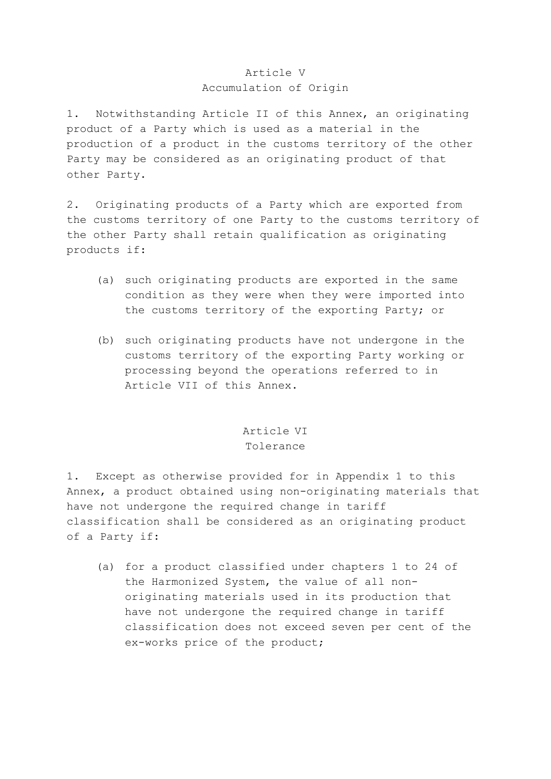#### Article V Accumulation of Origin

1. Notwithstanding Article II of this Annex, an originating product of a Party which is used as a material in the production of a product in the customs territory of the other Party may be considered as an originating product of that other Party.

2. Originating products of a Party which are exported from the customs territory of one Party to the customs territory of the other Party shall retain qualification as originating products if:

- (a) such originating products are exported in the same condition as they were when they were imported into the customs territory of the exporting Party; or
- (b) such originating products have not undergone in the customs territory of the exporting Party working or processing beyond the operations referred to in Article VII of this Annex.

# Article VI Tolerance

1. Except as otherwise provided for in Appendix 1 to this Annex, a product obtained using non-originating materials that have not undergone the required change in tariff classification shall be considered as an originating product of a Party if:

 (a) for a product classified under chapters 1 to 24 of the Harmonized System, the value of all nonoriginating materials used in its production that have not undergone the required change in tariff classification does not exceed seven per cent of the ex-works price of the product;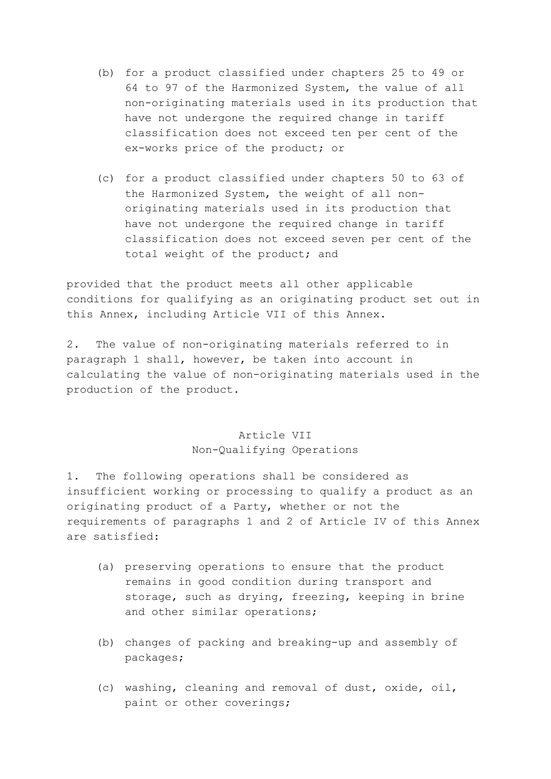- (b) for a product classified under chapters 25 to 49 or 64 to 97 of the Harmonized System, the value of all non-originating materials used in its production that have not undergone the required change in tariff classification does not exceed ten per cent of the ex-works price of the product; or
- (c) for a product classified under chapters 50 to 63 of the Harmonized System, the weight of all nonoriginating materials used in its production that have not undergone the required change in tariff classification does not exceed seven per cent of the total weight of the product; and

provided that the product meets all other applicable conditions for qualifying as an originating product set out in this Annex, including Article VII of this Annex.

2. The value of non-originating materials referred to in paragraph 1 shall, however, be taken into account in calculating the value of non-originating materials used in the production of the product.

# Article VII Non-Qualifying Operations

1. The following operations shall be considered as insufficient working or processing to qualify a product as an originating product of a Party, whether or not the requirements of paragraphs 1 and 2 of Article IV of this Annex are satisfied:

- (a) preserving operations to ensure that the product remains in good condition during transport and storage, such as drying, freezing, keeping in brine and other similar operations;
- (b) changes of packing and breaking-up and assembly of packages;
- (c) washing, cleaning and removal of dust, oxide, oil, paint or other coverings;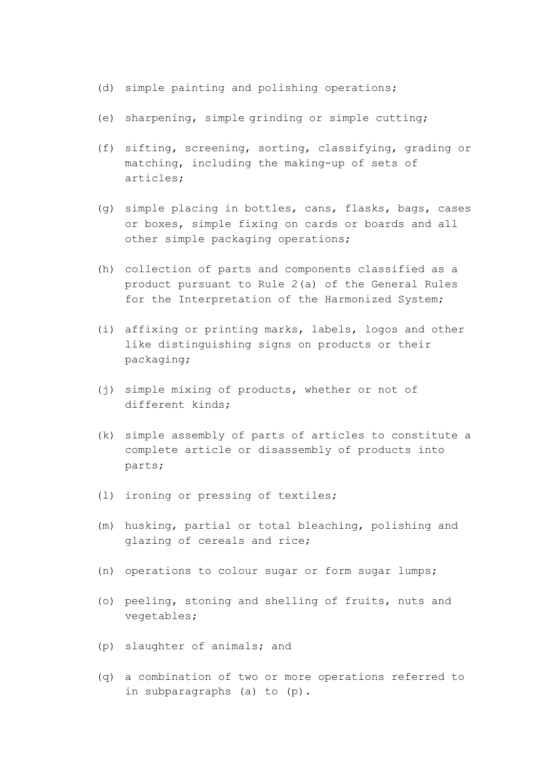- (d) simple painting and polishing operations;
- (e) sharpening, simple grinding or simple cutting;
- (f) sifting, screening, sorting, classifying, grading or matching, including the making-up of sets of articles;
- (g) simple placing in bottles, cans, flasks, bags, cases or boxes, simple fixing on cards or boards and all other simple packaging operations;
- (h) collection of parts and components classified as a product pursuant to Rule 2(a) of the General Rules for the Interpretation of the Harmonized System;
- (i) affixing or printing marks, labels, logos and other like distinguishing signs on products or their packaging;
- (j) simple mixing of products, whether or not of different kinds;
- (k) simple assembly of parts of articles to constitute a complete article or disassembly of products into parts;
- (l) ironing or pressing of textiles;
- (m) husking, partial or total bleaching, polishing and glazing of cereals and rice;
- (n) operations to colour sugar or form sugar lumps;
- (o) peeling, stoning and shelling of fruits, nuts and vegetables;
- (p) slaughter of animals; and
- (q) a combination of two or more operations referred to in subparagraphs (a) to (p).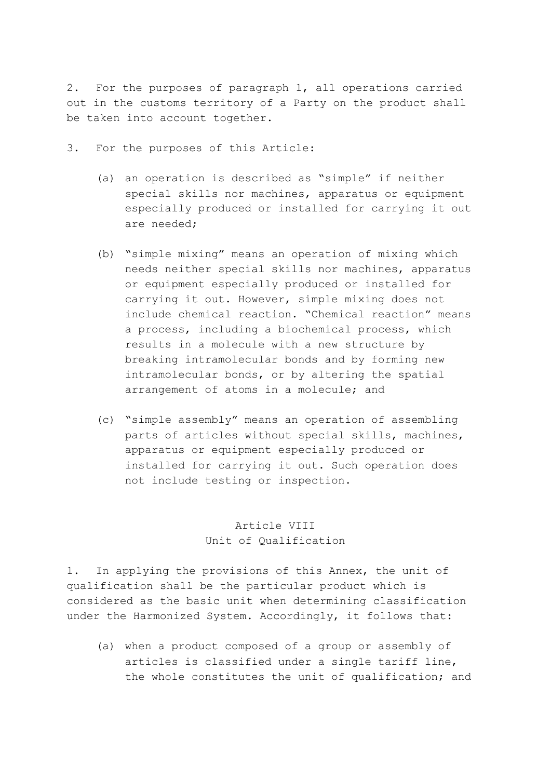2. For the purposes of paragraph 1, all operations carried out in the customs territory of a Party on the product shall be taken into account together.

- 3. For the purposes of this Article:
	- (a) an operation is described as "simple" if neither special skills nor machines, apparatus or equipment especially produced or installed for carrying it out are needed;
	- (b) "simple mixing" means an operation of mixing which needs neither special skills nor machines, apparatus or equipment especially produced or installed for carrying it out. However, simple mixing does not include chemical reaction. "Chemical reaction" means a process, including a biochemical process, which results in a molecule with a new structure by breaking intramolecular bonds and by forming new intramolecular bonds, or by altering the spatial arrangement of atoms in a molecule; and
	- (c) "simple assembly" means an operation of assembling parts of articles without special skills, machines, apparatus or equipment especially produced or installed for carrying it out. Such operation does not include testing or inspection.

# Article VIII Unit of Qualification

1. In applying the provisions of this Annex, the unit of qualification shall be the particular product which is considered as the basic unit when determining classification under the Harmonized System. Accordingly, it follows that:

 (a) when a product composed of a group or assembly of articles is classified under a single tariff line, the whole constitutes the unit of qualification; and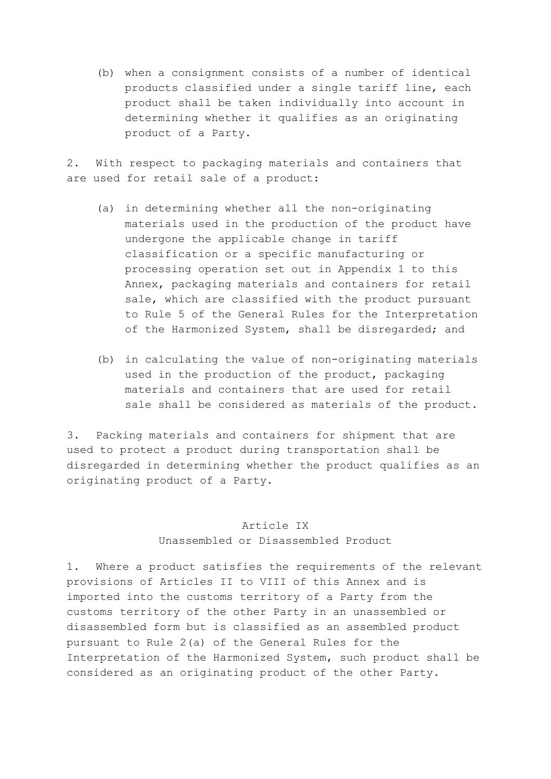(b) when a consignment consists of a number of identical products classified under a single tariff line, each product shall be taken individually into account in determining whether it qualifies as an originating product of a Party.

2. With respect to packaging materials and containers that are used for retail sale of a product:

- (a) in determining whether all the non-originating materials used in the production of the product have undergone the applicable change in tariff classification or a specific manufacturing or processing operation set out in Appendix 1 to this Annex, packaging materials and containers for retail sale, which are classified with the product pursuant to Rule 5 of the General Rules for the Interpretation of the Harmonized System, shall be disregarded; and
- (b) in calculating the value of non-originating materials used in the production of the product, packaging materials and containers that are used for retail sale shall be considered as materials of the product.

3. Packing materials and containers for shipment that are used to protect a product during transportation shall be disregarded in determining whether the product qualifies as an originating product of a Party.

#### Article IX

#### Unassembled or Disassembled Product

1. Where a product satisfies the requirements of the relevant provisions of Articles II to VIII of this Annex and is imported into the customs territory of a Party from the customs territory of the other Party in an unassembled or disassembled form but is classified as an assembled product pursuant to Rule 2(a) of the General Rules for the Interpretation of the Harmonized System, such product shall be considered as an originating product of the other Party.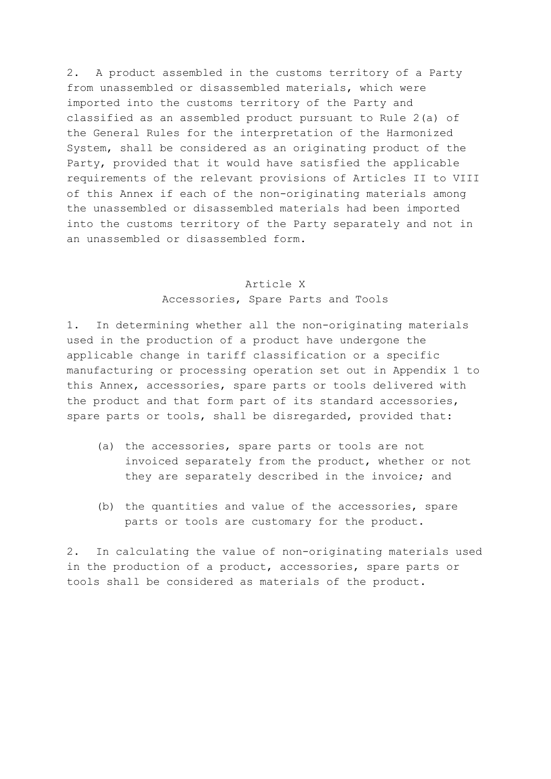2. A product assembled in the customs territory of a Party from unassembled or disassembled materials, which were imported into the customs territory of the Party and classified as an assembled product pursuant to Rule 2(a) of the General Rules for the interpretation of the Harmonized System, shall be considered as an originating product of the Party, provided that it would have satisfied the applicable requirements of the relevant provisions of Articles II to VIII of this Annex if each of the non-originating materials among the unassembled or disassembled materials had been imported into the customs territory of the Party separately and not in an unassembled or disassembled form.

#### Article X

Accessories, Spare Parts and Tools

1. In determining whether all the non-originating materials used in the production of a product have undergone the applicable change in tariff classification or a specific manufacturing or processing operation set out in Appendix 1 to this Annex, accessories, spare parts or tools delivered with the product and that form part of its standard accessories, spare parts or tools, shall be disregarded, provided that:

- (a) the accessories, spare parts or tools are not invoiced separately from the product, whether or not they are separately described in the invoice; and
- (b) the quantities and value of the accessories, spare parts or tools are customary for the product.

2. In calculating the value of non-originating materials used in the production of a product, accessories, spare parts or tools shall be considered as materials of the product.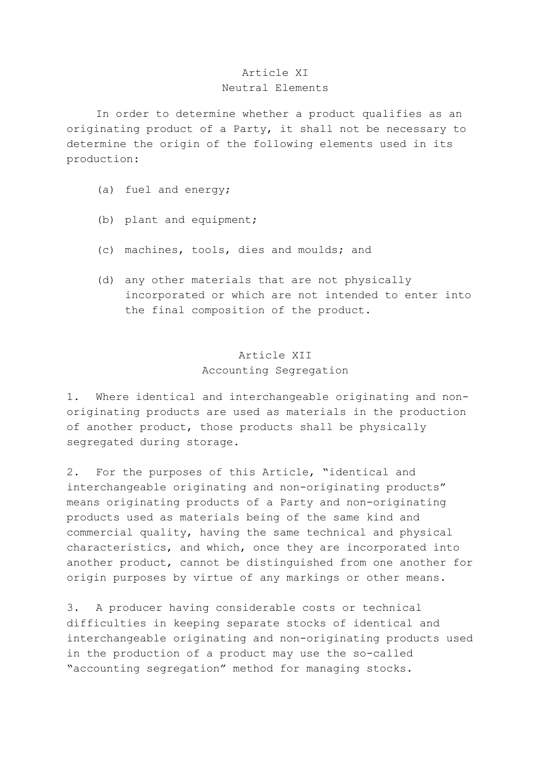#### Article XI Neutral Elements

 In order to determine whether a product qualifies as an originating product of a Party, it shall not be necessary to determine the origin of the following elements used in its production:

- (a) fuel and energy;
- (b) plant and equipment;
- (c) machines, tools, dies and moulds; and
- (d) any other materials that are not physically incorporated or which are not intended to enter into the final composition of the product.

#### Article XII Accounting Segregation

1. Where identical and interchangeable originating and nonoriginating products are used as materials in the production of another product, those products shall be physically segregated during storage.

2. For the purposes of this Article, "identical and interchangeable originating and non-originating products" means originating products of a Party and non-originating products used as materials being of the same kind and commercial quality, having the same technical and physical characteristics, and which, once they are incorporated into another product, cannot be distinguished from one another for origin purposes by virtue of any markings or other means.

3. A producer having considerable costs or technical difficulties in keeping separate stocks of identical and interchangeable originating and non-originating products used in the production of a product may use the so-called "accounting segregation" method for managing stocks.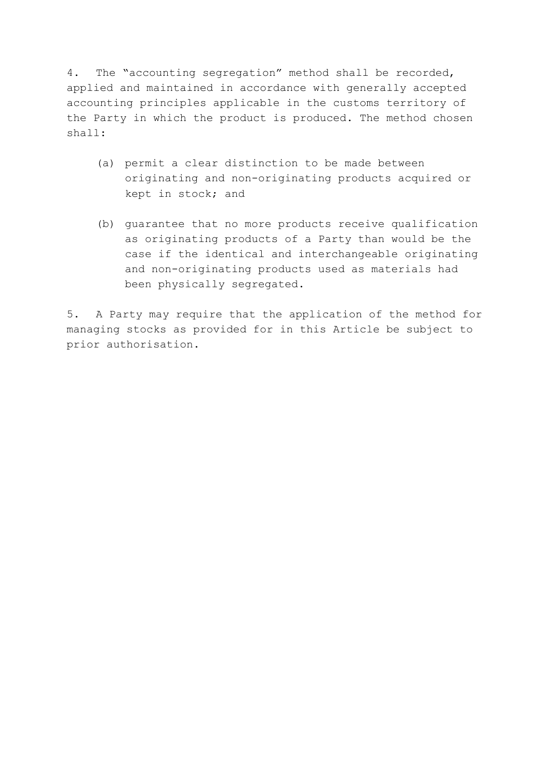4. The "accounting segregation" method shall be recorded, applied and maintained in accordance with generally accepted accounting principles applicable in the customs territory of the Party in which the product is produced. The method chosen shall:

- (a) permit a clear distinction to be made between originating and non-originating products acquired or kept in stock; and
- (b) guarantee that no more products receive qualification as originating products of a Party than would be the case if the identical and interchangeable originating and non-originating products used as materials had been physically segregated.

5. A Party may require that the application of the method for managing stocks as provided for in this Article be subject to prior authorisation.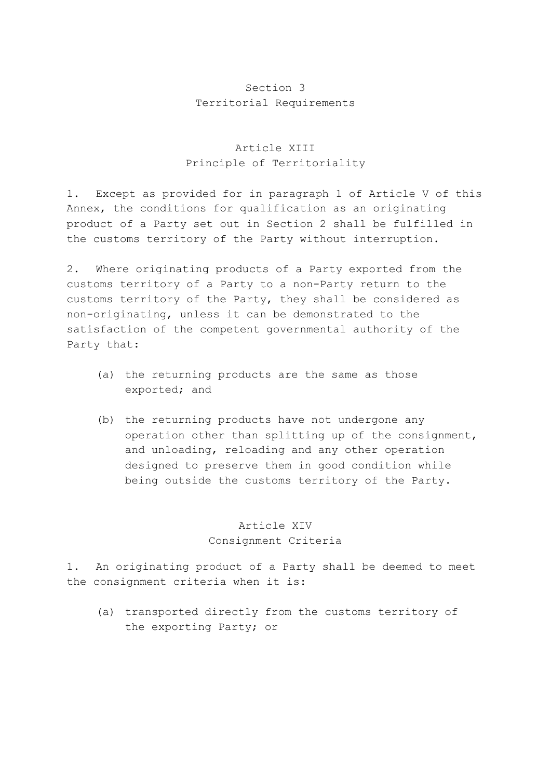# Section 3 Territorial Requirements

### Article XIII Principle of Territoriality

1. Except as provided for in paragraph 1 of Article V of this Annex, the conditions for qualification as an originating product of a Party set out in Section 2 shall be fulfilled in the customs territory of the Party without interruption.

2. Where originating products of a Party exported from the customs territory of a Party to a non-Party return to the customs territory of the Party, they shall be considered as non-originating, unless it can be demonstrated to the satisfaction of the competent governmental authority of the Party that:

- (a) the returning products are the same as those exported; and
- (b) the returning products have not undergone any operation other than splitting up of the consignment, and unloading, reloading and any other operation designed to preserve them in good condition while being outside the customs territory of the Party.

# Article XIV Consignment Criteria

1. An originating product of a Party shall be deemed to meet the consignment criteria when it is:

 (a) transported directly from the customs territory of the exporting Party; or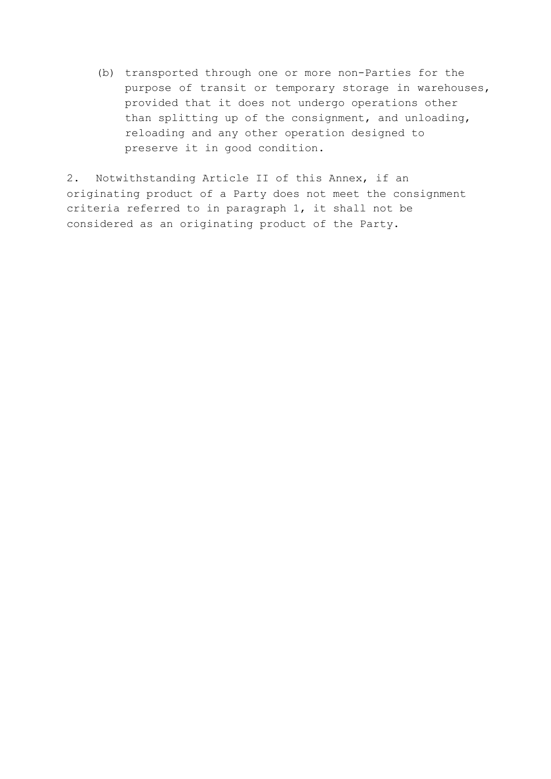(b) transported through one or more non-Parties for the purpose of transit or temporary storage in warehouses, provided that it does not undergo operations other than splitting up of the consignment, and unloading, reloading and any other operation designed to preserve it in good condition.

2. Notwithstanding Article II of this Annex, if an originating product of a Party does not meet the consignment criteria referred to in paragraph 1, it shall not be considered as an originating product of the Party.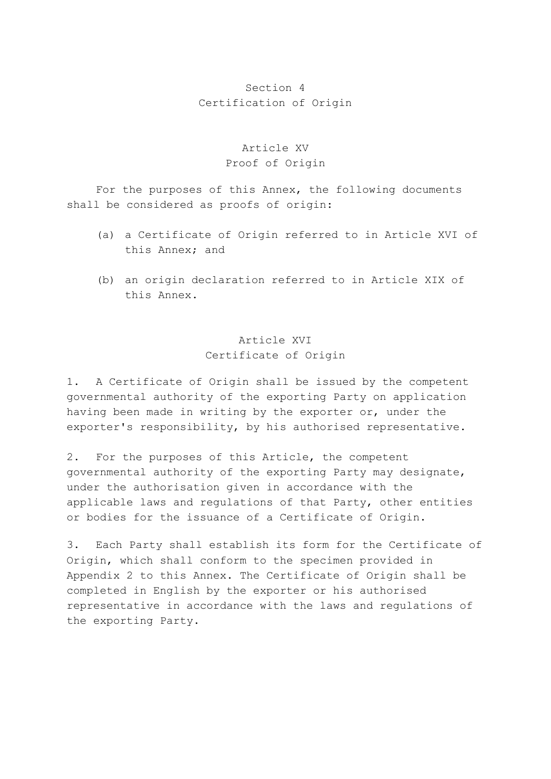# Section 4 Certification of Origin

## Article XV Proof of Origin

 For the purposes of this Annex, the following documents shall be considered as proofs of origin:

- (a) a Certificate of Origin referred to in Article XVI of this Annex; and
- (b) an origin declaration referred to in Article XIX of this Annex.

# Article XVI Certificate of Origin

1. A Certificate of Origin shall be issued by the competent governmental authority of the exporting Party on application having been made in writing by the exporter or, under the exporter's responsibility, by his authorised representative.

2. For the purposes of this Article, the competent governmental authority of the exporting Party may designate, under the authorisation given in accordance with the applicable laws and regulations of that Party, other entities or bodies for the issuance of a Certificate of Origin.

3. Each Party shall establish its form for the Certificate of Origin, which shall conform to the specimen provided in Appendix 2 to this Annex. The Certificate of Origin shall be completed in English by the exporter or his authorised representative in accordance with the laws and regulations of the exporting Party.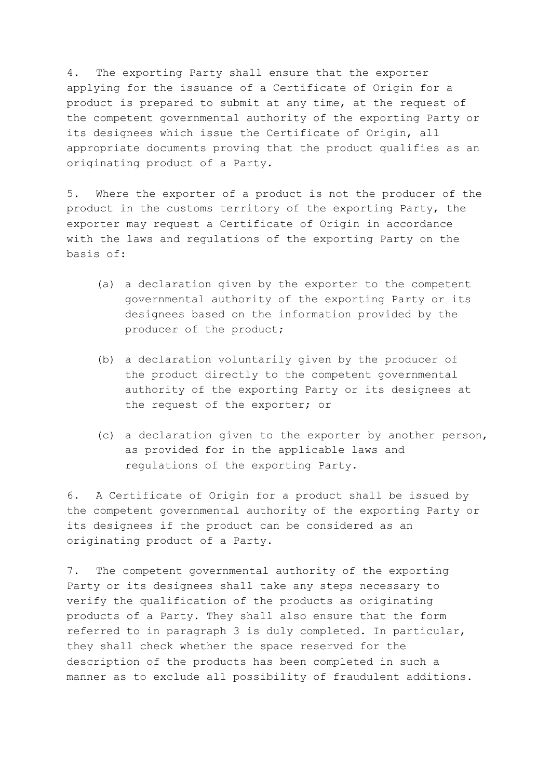4. The exporting Party shall ensure that the exporter applying for the issuance of a Certificate of Origin for a product is prepared to submit at any time, at the request of the competent governmental authority of the exporting Party or its designees which issue the Certificate of Origin, all appropriate documents proving that the product qualifies as an originating product of a Party.

5. Where the exporter of a product is not the producer of the product in the customs territory of the exporting Party, the exporter may request a Certificate of Origin in accordance with the laws and regulations of the exporting Party on the basis of:

- (a) a declaration given by the exporter to the competent governmental authority of the exporting Party or its designees based on the information provided by the producer of the product;
- (b) a declaration voluntarily given by the producer of the product directly to the competent governmental authority of the exporting Party or its designees at the request of the exporter; or
- (c) a declaration given to the exporter by another person, as provided for in the applicable laws and regulations of the exporting Party.

6. A Certificate of Origin for a product shall be issued by the competent governmental authority of the exporting Party or its designees if the product can be considered as an originating product of a Party.

7. The competent governmental authority of the exporting Party or its designees shall take any steps necessary to verify the qualification of the products as originating products of a Party. They shall also ensure that the form referred to in paragraph 3 is duly completed. In particular, they shall check whether the space reserved for the description of the products has been completed in such a manner as to exclude all possibility of fraudulent additions.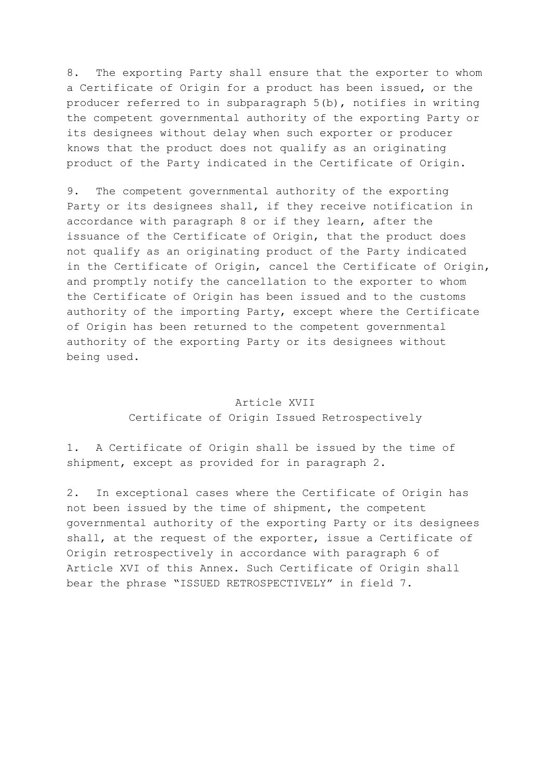8. The exporting Party shall ensure that the exporter to whom a Certificate of Origin for a product has been issued, or the producer referred to in subparagraph 5(b), notifies in writing the competent governmental authority of the exporting Party or its designees without delay when such exporter or producer knows that the product does not qualify as an originating product of the Party indicated in the Certificate of Origin.

9. The competent governmental authority of the exporting Party or its designees shall, if they receive notification in accordance with paragraph 8 or if they learn, after the issuance of the Certificate of Origin, that the product does not qualify as an originating product of the Party indicated in the Certificate of Origin, cancel the Certificate of Origin, and promptly notify the cancellation to the exporter to whom the Certificate of Origin has been issued and to the customs authority of the importing Party, except where the Certificate of Origin has been returned to the competent governmental authority of the exporting Party or its designees without being used.

#### Article XVII

#### Certificate of Origin Issued Retrospectively

1. A Certificate of Origin shall be issued by the time of shipment, except as provided for in paragraph 2.

2. In exceptional cases where the Certificate of Origin has not been issued by the time of shipment, the competent governmental authority of the exporting Party or its designees shall, at the request of the exporter, issue a Certificate of Origin retrospectively in accordance with paragraph 6 of Article XVI of this Annex. Such Certificate of Origin shall bear the phrase "ISSUED RETROSPECTIVELY" in field 7.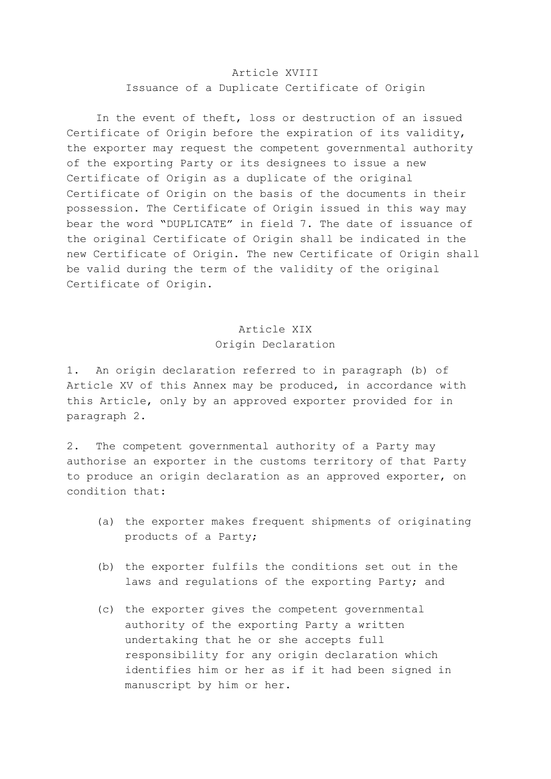#### Article XVIII Issuance of a Duplicate Certificate of Origin

 In the event of theft, loss or destruction of an issued Certificate of Origin before the expiration of its validity, the exporter may request the competent governmental authority of the exporting Party or its designees to issue a new Certificate of Origin as a duplicate of the original Certificate of Origin on the basis of the documents in their possession. The Certificate of Origin issued in this way may bear the word "DUPLICATE" in field 7. The date of issuance of the original Certificate of Origin shall be indicated in the new Certificate of Origin. The new Certificate of Origin shall be valid during the term of the validity of the original Certificate of Origin.

# Article XIX Origin Declaration

1. An origin declaration referred to in paragraph (b) of Article XV of this Annex may be produced, in accordance with this Article, only by an approved exporter provided for in paragraph 2.

2. The competent governmental authority of a Party may authorise an exporter in the customs territory of that Party to produce an origin declaration as an approved exporter, on condition that:

- (a) the exporter makes frequent shipments of originating products of a Party;
- (b) the exporter fulfils the conditions set out in the laws and regulations of the exporting Party; and
- (c) the exporter gives the competent governmental authority of the exporting Party a written undertaking that he or she accepts full responsibility for any origin declaration which identifies him or her as if it had been signed in manuscript by him or her.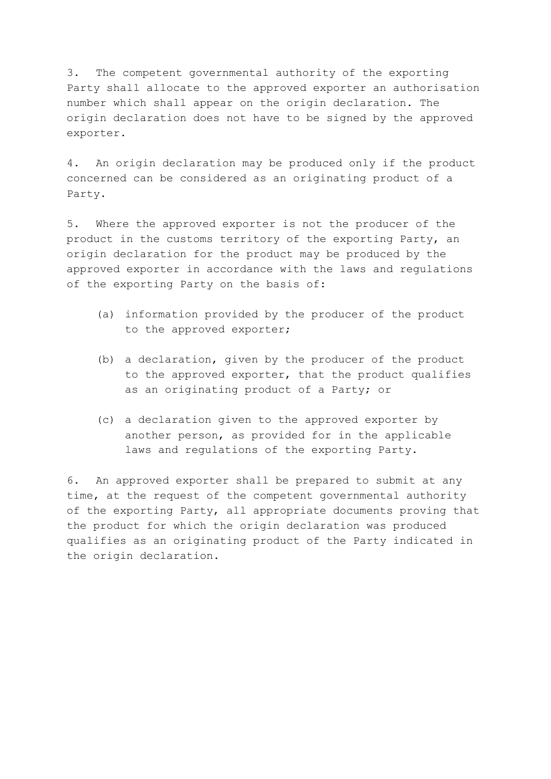3. The competent governmental authority of the exporting Party shall allocate to the approved exporter an authorisation number which shall appear on the origin declaration. The origin declaration does not have to be signed by the approved exporter.

4. An origin declaration may be produced only if the product concerned can be considered as an originating product of a Party.

5. Where the approved exporter is not the producer of the product in the customs territory of the exporting Party, an origin declaration for the product may be produced by the approved exporter in accordance with the laws and regulations of the exporting Party on the basis of:

- (a) information provided by the producer of the product to the approved exporter;
- (b) a declaration, given by the producer of the product to the approved exporter, that the product qualifies as an originating product of a Party; or
- (c) a declaration given to the approved exporter by another person, as provided for in the applicable laws and regulations of the exporting Party.

6. An approved exporter shall be prepared to submit at any time, at the request of the competent governmental authority of the exporting Party, all appropriate documents proving that the product for which the origin declaration was produced qualifies as an originating product of the Party indicated in the origin declaration.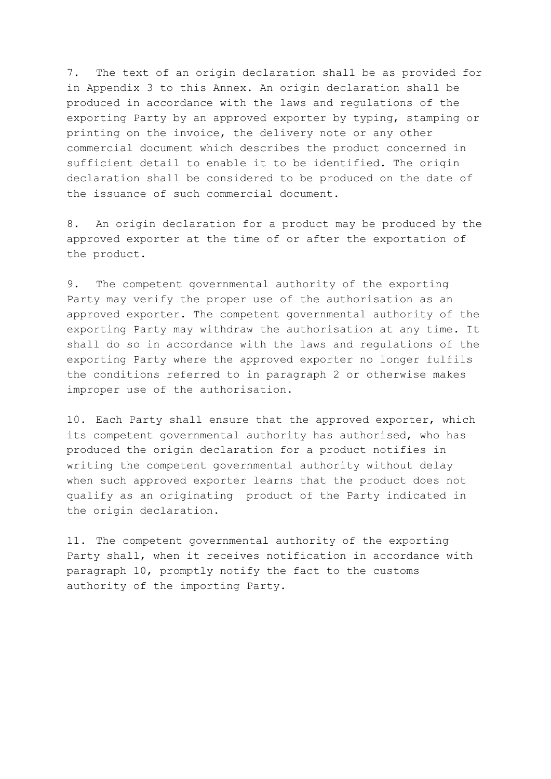7. The text of an origin declaration shall be as provided for in Appendix 3 to this Annex. An origin declaration shall be produced in accordance with the laws and regulations of the exporting Party by an approved exporter by typing, stamping or printing on the invoice, the delivery note or any other commercial document which describes the product concerned in sufficient detail to enable it to be identified. The origin declaration shall be considered to be produced on the date of the issuance of such commercial document.

8. An origin declaration for a product may be produced by the approved exporter at the time of or after the exportation of the product.

9. The competent governmental authority of the exporting Party may verify the proper use of the authorisation as an approved exporter. The competent governmental authority of the exporting Party may withdraw the authorisation at any time. It shall do so in accordance with the laws and regulations of the exporting Party where the approved exporter no longer fulfils the conditions referred to in paragraph 2 or otherwise makes improper use of the authorisation.

10. Each Party shall ensure that the approved exporter, which its competent governmental authority has authorised, who has produced the origin declaration for a product notifies in writing the competent governmental authority without delay when such approved exporter learns that the product does not qualify as an originating product of the Party indicated in the origin declaration.

11. The competent governmental authority of the exporting Party shall, when it receives notification in accordance with paragraph 10, promptly notify the fact to the customs authority of the importing Party.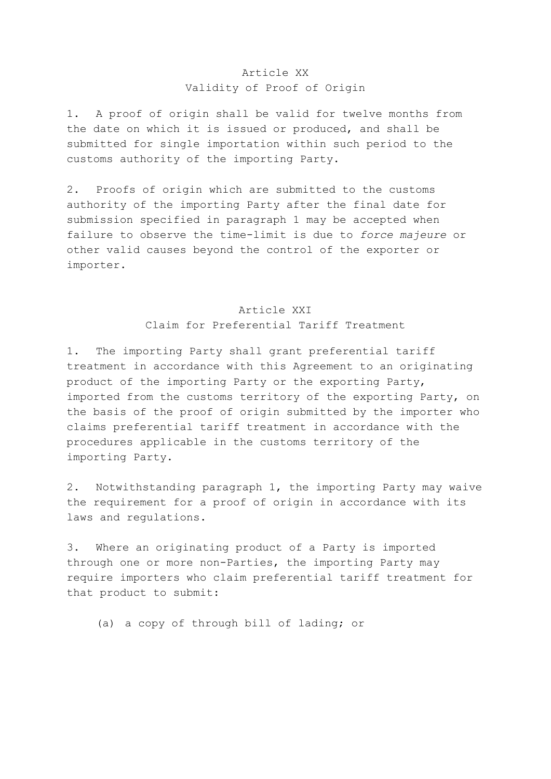#### Article XX Validity of Proof of Origin

1. A proof of origin shall be valid for twelve months from the date on which it is issued or produced, and shall be submitted for single importation within such period to the customs authority of the importing Party.

2. Proofs of origin which are submitted to the customs authority of the importing Party after the final date for submission specified in paragraph 1 may be accepted when failure to observe the time-limit is due to *force majeure* or other valid causes beyond the control of the exporter or importer.

# Article XXI Claim for Preferential Tariff Treatment

1. The importing Party shall grant preferential tariff treatment in accordance with this Agreement to an originating product of the importing Party or the exporting Party, imported from the customs territory of the exporting Party, on the basis of the proof of origin submitted by the importer who claims preferential tariff treatment in accordance with the procedures applicable in the customs territory of the importing Party.

2. Notwithstanding paragraph 1, the importing Party may waive the requirement for a proof of origin in accordance with its laws and regulations.

3. Where an originating product of a Party is imported through one or more non-Parties, the importing Party may require importers who claim preferential tariff treatment for that product to submit:

(a) a copy of through bill of lading; or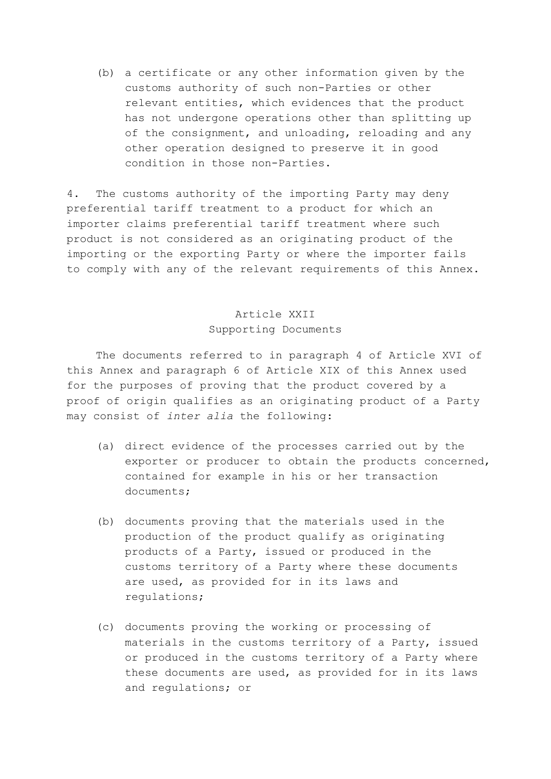(b) a certificate or any other information given by the customs authority of such non-Parties or other relevant entities, which evidences that the product has not undergone operations other than splitting up of the consignment, and unloading, reloading and any other operation designed to preserve it in good condition in those non-Parties.

4. The customs authority of the importing Party may deny preferential tariff treatment to a product for which an importer claims preferential tariff treatment where such product is not considered as an originating product of the importing or the exporting Party or where the importer fails to comply with any of the relevant requirements of this Annex.

### Article XXII Supporting Documents

 The documents referred to in paragraph 4 of Article XVI of this Annex and paragraph 6 of Article XIX of this Annex used for the purposes of proving that the product covered by a proof of origin qualifies as an originating product of a Party may consist of *inter alia* the following:

- (a) direct evidence of the processes carried out by the exporter or producer to obtain the products concerned, contained for example in his or her transaction documents;
- (b) documents proving that the materials used in the production of the product qualify as originating products of a Party, issued or produced in the customs territory of a Party where these documents are used, as provided for in its laws and regulations;
- (c) documents proving the working or processing of materials in the customs territory of a Party, issued or produced in the customs territory of a Party where these documents are used, as provided for in its laws and regulations; or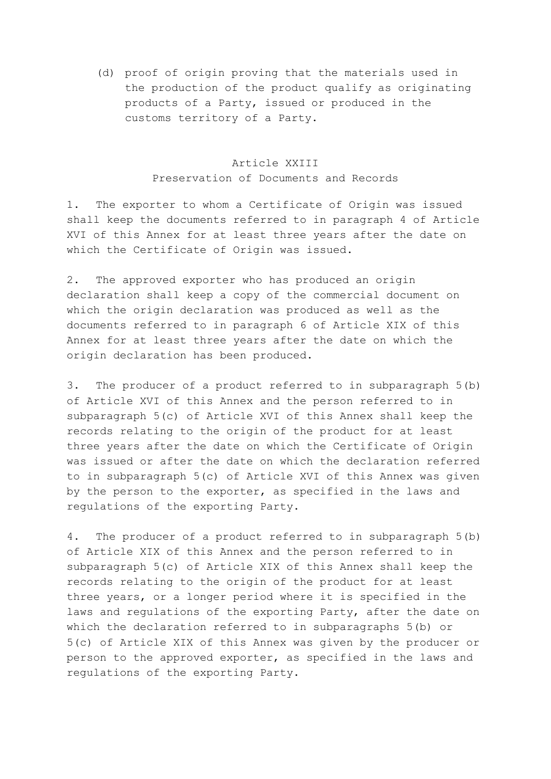(d) proof of origin proving that the materials used in the production of the product qualify as originating products of a Party, issued or produced in the customs territory of a Party.

#### Article XXIII Preservation of Documents and Records

1. The exporter to whom a Certificate of Origin was issued shall keep the documents referred to in paragraph 4 of Article XVI of this Annex for at least three years after the date on which the Certificate of Origin was issued.

2. The approved exporter who has produced an origin declaration shall keep a copy of the commercial document on which the origin declaration was produced as well as the documents referred to in paragraph 6 of Article XIX of this Annex for at least three years after the date on which the origin declaration has been produced.

3. The producer of a product referred to in subparagraph 5(b) of Article XVI of this Annex and the person referred to in subparagraph 5(c) of Article XVI of this Annex shall keep the records relating to the origin of the product for at least three years after the date on which the Certificate of Origin was issued or after the date on which the declaration referred to in subparagraph 5(c) of Article XVI of this Annex was given by the person to the exporter, as specified in the laws and regulations of the exporting Party.

4. The producer of a product referred to in subparagraph 5(b) of Article XIX of this Annex and the person referred to in subparagraph 5(c) of Article XIX of this Annex shall keep the records relating to the origin of the product for at least three years, or a longer period where it is specified in the laws and regulations of the exporting Party, after the date on which the declaration referred to in subparagraphs 5(b) or 5(c) of Article XIX of this Annex was given by the producer or person to the approved exporter, as specified in the laws and regulations of the exporting Party.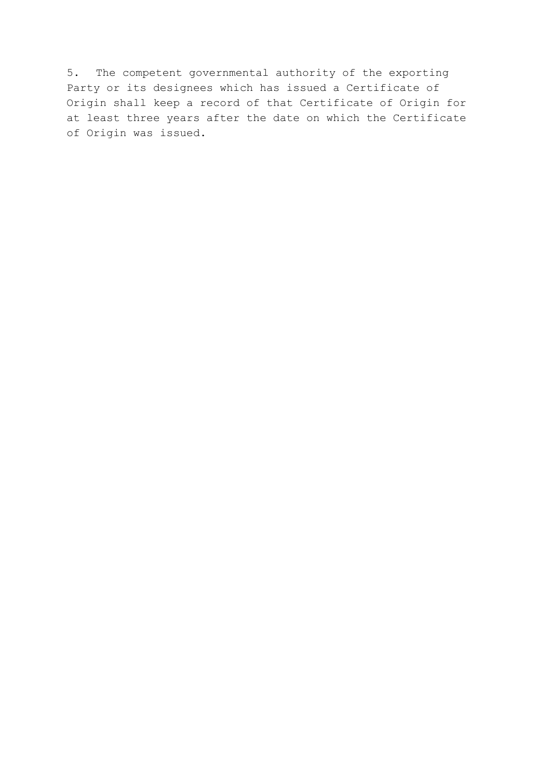5. The competent governmental authority of the exporting Party or its designees which has issued a Certificate of Origin shall keep a record of that Certificate of Origin for at least three years after the date on which the Certificate of Origin was issued.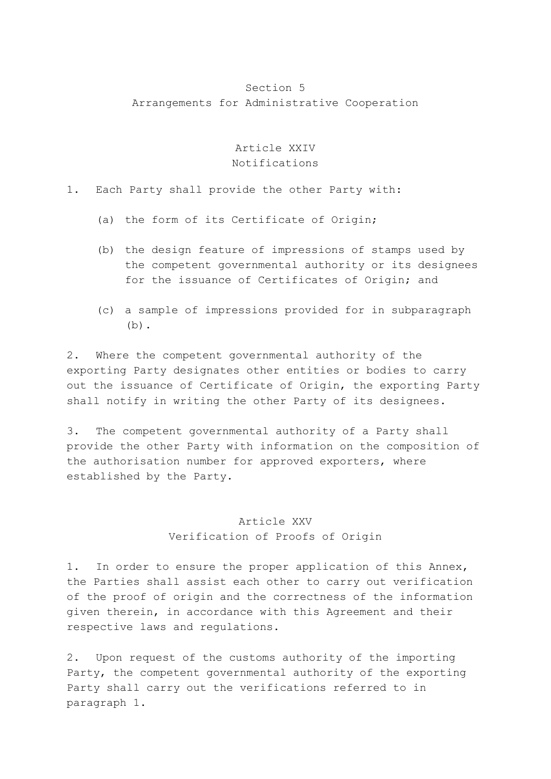### Section 5 Arrangements for Administrative Cooperation

#### Article XXIV Notifications

1. Each Party shall provide the other Party with:

- (a) the form of its Certificate of Origin;
- (b) the design feature of impressions of stamps used by the competent governmental authority or its designees for the issuance of Certificates of Origin; and
- (c) a sample of impressions provided for in subparagraph (b).

2. Where the competent governmental authority of the exporting Party designates other entities or bodies to carry out the issuance of Certificate of Origin, the exporting Party shall notify in writing the other Party of its designees.

3. The competent governmental authority of a Party shall provide the other Party with information on the composition of the authorisation number for approved exporters, where established by the Party.

# Article XXV

#### Verification of Proofs of Origin

1. In order to ensure the proper application of this Annex, the Parties shall assist each other to carry out verification of the proof of origin and the correctness of the information given therein, in accordance with this Agreement and their respective laws and regulations.

2. Upon request of the customs authority of the importing Party, the competent governmental authority of the exporting Party shall carry out the verifications referred to in paragraph 1.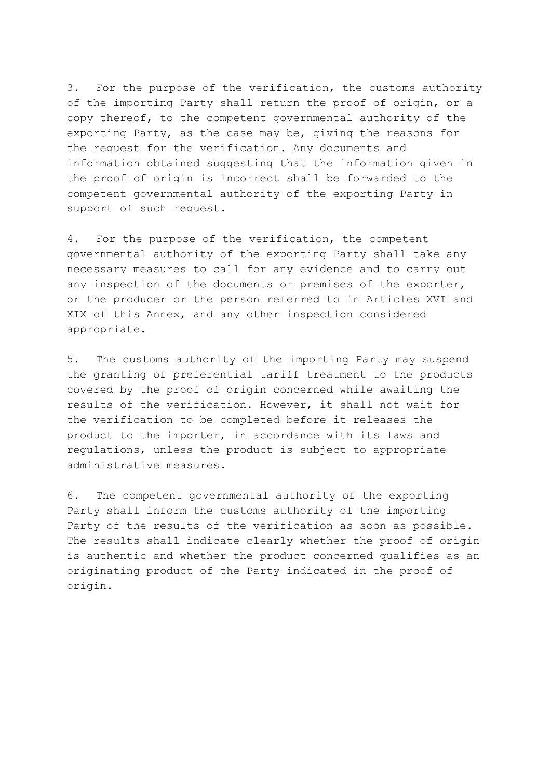3. For the purpose of the verification, the customs authority of the importing Party shall return the proof of origin, or a copy thereof, to the competent governmental authority of the exporting Party, as the case may be, giving the reasons for the request for the verification. Any documents and information obtained suggesting that the information given in the proof of origin is incorrect shall be forwarded to the competent governmental authority of the exporting Party in support of such request.

4. For the purpose of the verification, the competent governmental authority of the exporting Party shall take any necessary measures to call for any evidence and to carry out any inspection of the documents or premises of the exporter, or the producer or the person referred to in Articles XVI and XIX of this Annex, and any other inspection considered appropriate.

5. The customs authority of the importing Party may suspend the granting of preferential tariff treatment to the products covered by the proof of origin concerned while awaiting the results of the verification. However, it shall not wait for the verification to be completed before it releases the product to the importer, in accordance with its laws and regulations, unless the product is subject to appropriate administrative measures.

6. The competent governmental authority of the exporting Party shall inform the customs authority of the importing Party of the results of the verification as soon as possible. The results shall indicate clearly whether the proof of origin is authentic and whether the product concerned qualifies as an originating product of the Party indicated in the proof of origin.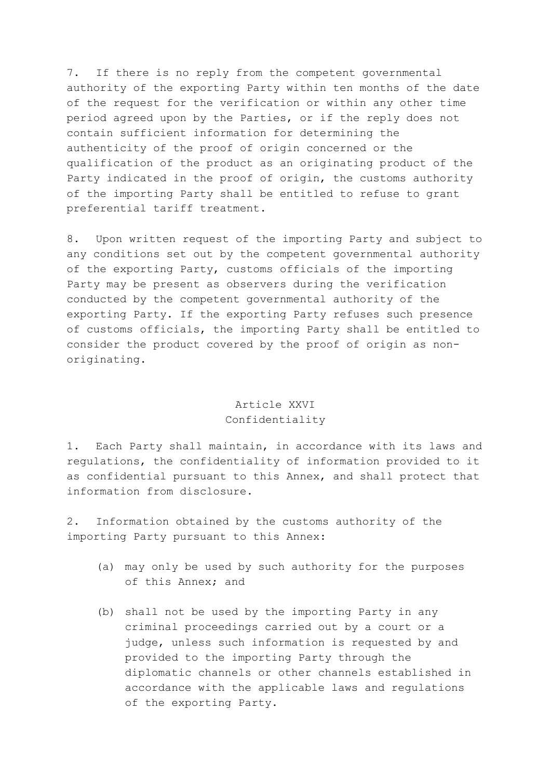7. If there is no reply from the competent governmental authority of the exporting Party within ten months of the date of the request for the verification or within any other time period agreed upon by the Parties, or if the reply does not contain sufficient information for determining the authenticity of the proof of origin concerned or the qualification of the product as an originating product of the Party indicated in the proof of origin, the customs authority of the importing Party shall be entitled to refuse to grant preferential tariff treatment.

8. Upon written request of the importing Party and subject to any conditions set out by the competent governmental authority of the exporting Party, customs officials of the importing Party may be present as observers during the verification conducted by the competent governmental authority of the exporting Party. If the exporting Party refuses such presence of customs officials, the importing Party shall be entitled to consider the product covered by the proof of origin as nonoriginating.

### Article XXVI Confidentiality

1. Each Party shall maintain, in accordance with its laws and regulations, the confidentiality of information provided to it as confidential pursuant to this Annex, and shall protect that information from disclosure.

2. Information obtained by the customs authority of the importing Party pursuant to this Annex:

- (a) may only be used by such authority for the purposes of this Annex; and
- (b) shall not be used by the importing Party in any criminal proceedings carried out by a court or a judge, unless such information is requested by and provided to the importing Party through the diplomatic channels or other channels established in accordance with the applicable laws and regulations of the exporting Party.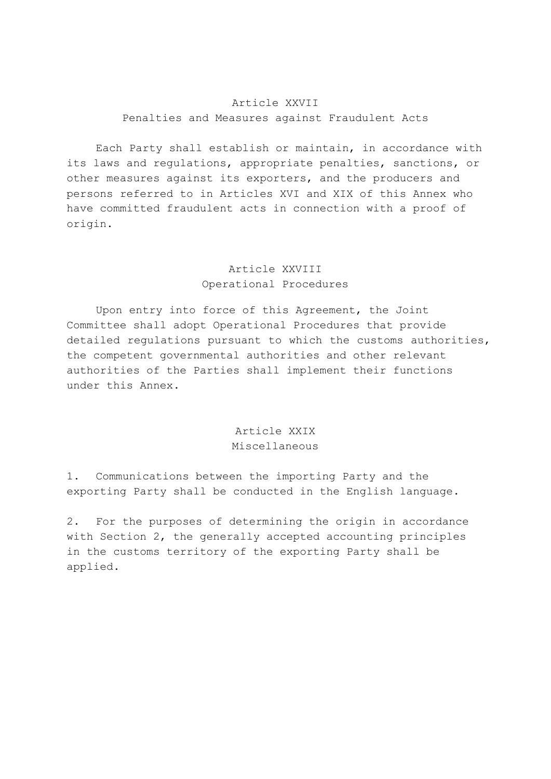#### Article XXVII Penalties and Measures against Fraudulent Acts

 Each Party shall establish or maintain, in accordance with its laws and regulations, appropriate penalties, sanctions, or other measures against its exporters, and the producers and persons referred to in Articles XVI and XIX of this Annex who have committed fraudulent acts in connection with a proof of origin.

# Article XXVIII Operational Procedures

 Upon entry into force of this Agreement, the Joint Committee shall adopt Operational Procedures that provide detailed regulations pursuant to which the customs authorities, the competent governmental authorities and other relevant authorities of the Parties shall implement their functions under this Annex.

### Article XXIX Miscellaneous

1. Communications between the importing Party and the exporting Party shall be conducted in the English language.

2. For the purposes of determining the origin in accordance with Section 2, the generally accepted accounting principles in the customs territory of the exporting Party shall be applied.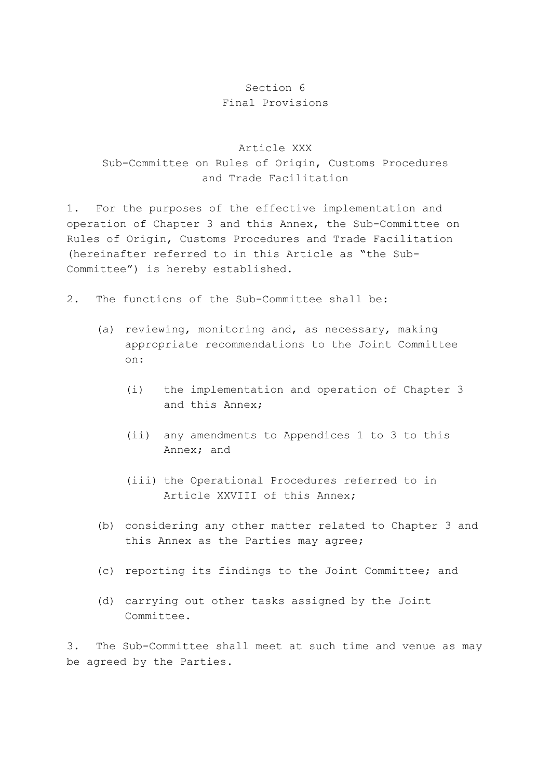## Section 6 Final Provisions

# Article XXX Sub-Committee on Rules of Origin, Customs Procedures and Trade Facilitation

1. For the purposes of the effective implementation and operation of Chapter 3 and this Annex, the Sub-Committee on Rules of Origin, Customs Procedures and Trade Facilitation (hereinafter referred to in this Article as "the Sub-Committee") is hereby established.

- 2. The functions of the Sub-Committee shall be:
	- (a) reviewing, monitoring and, as necessary, making appropriate recommendations to the Joint Committee on:
		- (i) the implementation and operation of Chapter 3 and this Annex;
		- (ii) any amendments to Appendices 1 to 3 to this Annex; and
		- (iii) the Operational Procedures referred to in Article XXVIII of this Annex;
	- (b) considering any other matter related to Chapter 3 and this Annex as the Parties may agree;
	- (c) reporting its findings to the Joint Committee; and
	- (d) carrying out other tasks assigned by the Joint Committee.

3. The Sub-Committee shall meet at such time and venue as may be agreed by the Parties.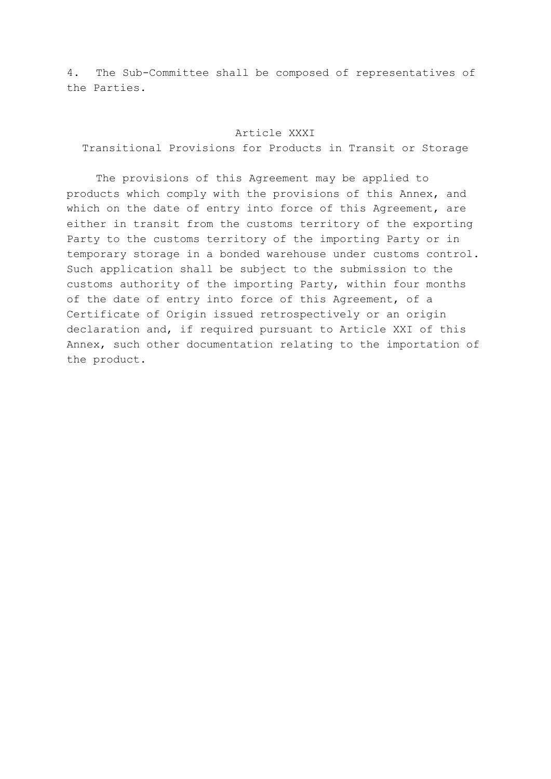4. The Sub-Committee shall be composed of representatives of the Parties.

#### Article XXXI

Transitional Provisions for Products in Transit or Storage

 The provisions of this Agreement may be applied to products which comply with the provisions of this Annex, and which on the date of entry into force of this Agreement, are either in transit from the customs territory of the exporting Party to the customs territory of the importing Party or in temporary storage in a bonded warehouse under customs control. Such application shall be subject to the submission to the customs authority of the importing Party, within four months of the date of entry into force of this Agreement, of a Certificate of Origin issued retrospectively or an origin declaration and, if required pursuant to Article XXI of this Annex, such other documentation relating to the importation of the product.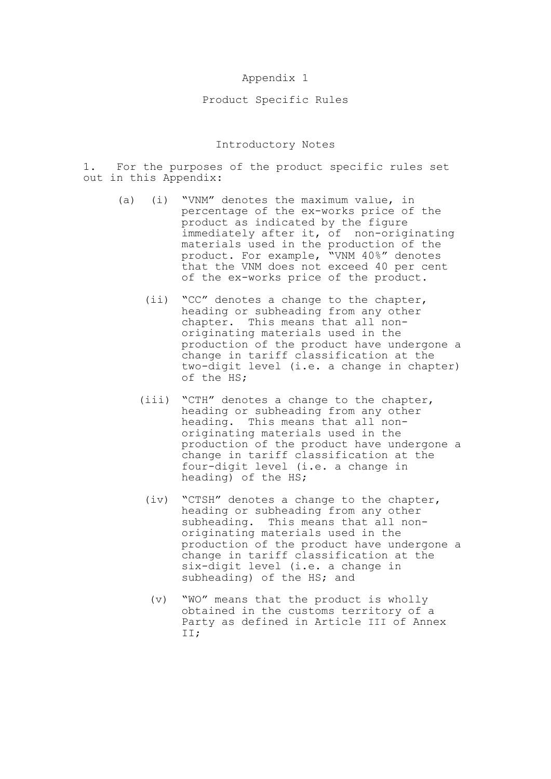#### Appendix 1

#### Product Specific Rules

#### Introductory Notes

1. For the purposes of the product specific rules set out in this Appendix:

- (a) (i) "VNM" denotes the maximum value, in percentage of the ex-works price of the product as indicated by the figure immediately after it, of non-originating materials used in the production of the product. For example, "VNM 40%" denotes that the VNM does not exceed 40 per cent of the ex-works price of the product.
	- (ii) "CC" denotes a change to the chapter, heading or subheading from any other chapter. This means that all nonoriginating materials used in the production of the product have undergone a change in tariff classification at the two-digit level (i.e. a change in chapter) of the HS;
	- (iii) "CTH" denotes a change to the chapter, heading or subheading from any other heading. This means that all nonoriginating materials used in the production of the product have undergone a change in tariff classification at the four-digit level (i.e. a change in heading) of the HS;
	- (iv) "CTSH" denotes a change to the chapter, heading or subheading from any other subheading. This means that all nonoriginating materials used in the production of the product have undergone a change in tariff classification at the six-digit level (i.e. a change in subheading) of the HS; and
	- (v) "WO" means that the product is wholly obtained in the customs territory of a Party as defined in Article III of Annex II;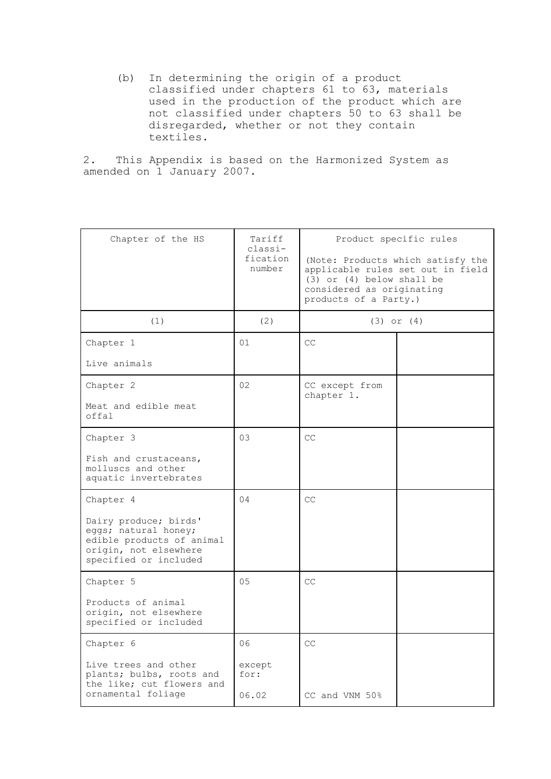(b) In determining the origin of a product classified under chapters 61 to 63, materials used in the production of the product which are not classified under chapters 50 to 63 shall be disregarded, whether or not they contain textiles.

2. This Appendix is based on the Harmonized System as amended on 1 January 2007.

| Chapter of the HS                                                                                                            | Tariff<br>classi-<br>fication<br>number | Product specific rules<br>$(3)$ or $(4)$ below shall be<br>considered as originating<br>products of a Party.) | (Note: Products which satisfy the<br>applicable rules set out in field |
|------------------------------------------------------------------------------------------------------------------------------|-----------------------------------------|---------------------------------------------------------------------------------------------------------------|------------------------------------------------------------------------|
| (1)                                                                                                                          | (2)                                     |                                                                                                               | $(3)$ or $(4)$                                                         |
| Chapter 1                                                                                                                    | 01                                      | CC                                                                                                            |                                                                        |
| Live animals                                                                                                                 |                                         |                                                                                                               |                                                                        |
| Chapter 2                                                                                                                    | 02                                      | CC except from<br>chapter 1.                                                                                  |                                                                        |
| Meat and edible meat<br>offa1                                                                                                |                                         |                                                                                                               |                                                                        |
| Chapter 3                                                                                                                    | 03                                      | CC                                                                                                            |                                                                        |
| Fish and crustaceans,<br>molluscs and other<br>aquatic invertebrates                                                         |                                         |                                                                                                               |                                                                        |
| Chapter 4                                                                                                                    | 04                                      | CC                                                                                                            |                                                                        |
| Dairy produce; birds'<br>eggs; natural honey;<br>edible products of animal<br>origin, not elsewhere<br>specified or included |                                         |                                                                                                               |                                                                        |
| Chapter 5                                                                                                                    | 0.5                                     | CC                                                                                                            |                                                                        |
| Products of animal<br>origin, not elsewhere<br>specified or included                                                         |                                         |                                                                                                               |                                                                        |
| Chapter 6                                                                                                                    | 06                                      | CC                                                                                                            |                                                                        |
| Live trees and other<br>plants; bulbs, roots and<br>the like; cut flowers and                                                | except<br>for:                          |                                                                                                               |                                                                        |
| ornamental foliage                                                                                                           | 06.02                                   | CC and VNM 50%                                                                                                |                                                                        |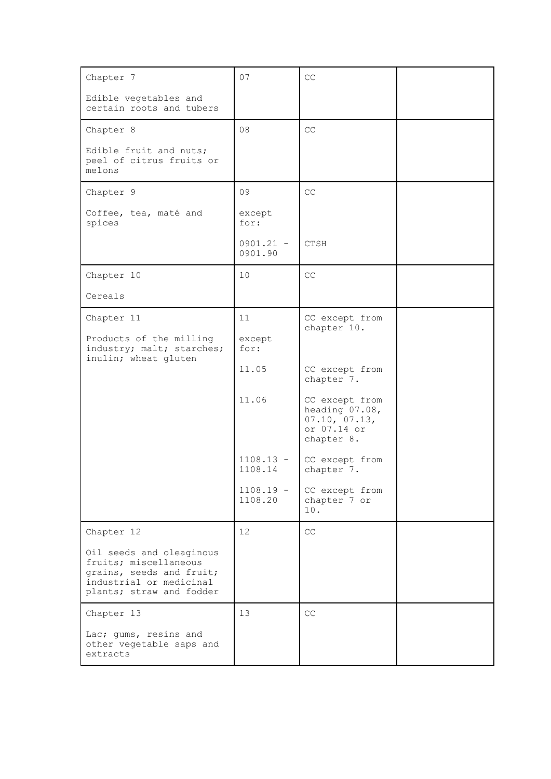| Chapter 7                                                                                                                            | 07                     | CC                                                                             |  |
|--------------------------------------------------------------------------------------------------------------------------------------|------------------------|--------------------------------------------------------------------------------|--|
| Edible vegetables and<br>certain roots and tubers                                                                                    |                        |                                                                                |  |
| Chapter 8                                                                                                                            | 08                     | CC                                                                             |  |
| Edible fruit and nuts;<br>peel of citrus fruits or<br>melons                                                                         |                        |                                                                                |  |
| Chapter 9                                                                                                                            | 09                     | CC                                                                             |  |
| Coffee, tea, maté and<br>spices                                                                                                      | except<br>for:         |                                                                                |  |
|                                                                                                                                      | $0901.21 -$<br>0901.90 | CTSH                                                                           |  |
| Chapter 10                                                                                                                           | 10                     | CC                                                                             |  |
| Cereals                                                                                                                              |                        |                                                                                |  |
| Chapter 11                                                                                                                           | 11                     | CC except from<br>chapter 10.                                                  |  |
| Products of the milling<br>industry; malt; starches;<br>inulin; wheat gluten                                                         | except<br>for:         |                                                                                |  |
|                                                                                                                                      | 11.05                  | CC except from<br>chapter 7.                                                   |  |
|                                                                                                                                      | 11.06                  | CC except from<br>heading 07.08,<br>07.10, 07.13,<br>or 07.14 or<br>chapter 8. |  |
|                                                                                                                                      | $1108.13 -$<br>1108.14 | CC except from<br>chapter 7.                                                   |  |
|                                                                                                                                      | $1108.19 -$<br>1108.20 | CC except from<br>chapter 7 or<br>10.                                          |  |
| Chapter 12                                                                                                                           | 12 <sup>2</sup>        | $\mathbb{C}\mathbb{C}$                                                         |  |
| Oil seeds and oleaginous<br>fruits; miscellaneous<br>grains, seeds and fruit;<br>industrial or medicinal<br>plants; straw and fodder |                        |                                                                                |  |
| Chapter 13                                                                                                                           | 13                     | CC                                                                             |  |
| Lac; gums, resins and<br>other vegetable saps and<br>extracts                                                                        |                        |                                                                                |  |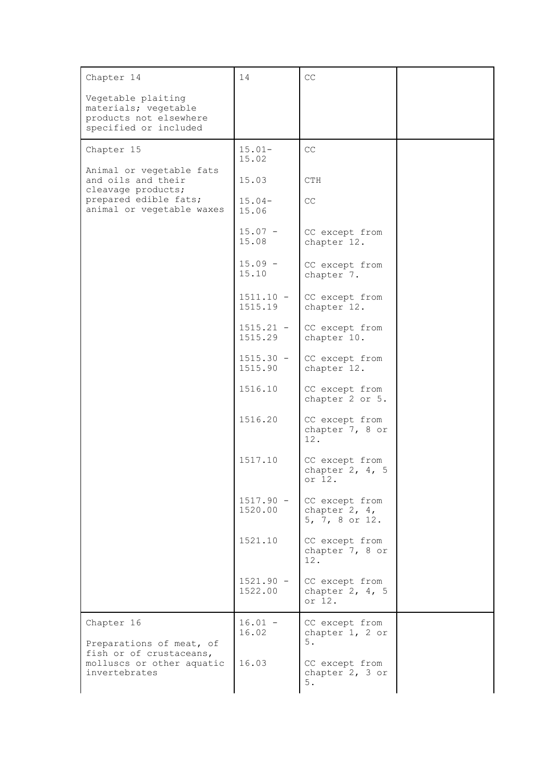| Chapter 14                                                                                    | 14                     | CC                                                  |  |
|-----------------------------------------------------------------------------------------------|------------------------|-----------------------------------------------------|--|
| Vegetable plaiting<br>materials; vegetable<br>products not elsewhere<br>specified or included |                        |                                                     |  |
| Chapter 15                                                                                    | $15.01-$<br>15.02      | CC                                                  |  |
| Animal or vegetable fats<br>and oils and their<br>cleavage products;                          | 15.03                  | CTH                                                 |  |
| prepared edible fats;<br>animal or vegetable waxes                                            | $15.04-$<br>15.06      | CC                                                  |  |
|                                                                                               | $15.07 -$<br>15.08     | CC except from<br>chapter 12.                       |  |
|                                                                                               | $15.09 -$<br>15.10     | CC except from<br>chapter 7.                        |  |
|                                                                                               | $1511.10 -$<br>1515.19 | CC except from<br>chapter 12.                       |  |
|                                                                                               | $1515.21 -$<br>1515.29 | CC except from<br>chapter 10.                       |  |
|                                                                                               | $1515.30 -$<br>1515.90 | CC except from<br>chapter 12.                       |  |
|                                                                                               | 1516.10                | CC except from<br>chapter 2 or 5.                   |  |
|                                                                                               | 1516.20                | CC except from<br>chapter 7, 8 or<br>12.            |  |
|                                                                                               | 1517.10                | CC except from<br>chapter $2, 4, 5$<br>or 12.       |  |
|                                                                                               | $1517.90 -$<br>1520.00 | CC except from<br>chapter $2, 4,$<br>5, 7, 8 or 12. |  |
|                                                                                               | 1521.10                | CC except from<br>chapter 7, 8 or<br>12.            |  |
|                                                                                               | $1521.90 -$<br>1522.00 | CC except from<br>chapter $2, 4, 5$<br>or 12.       |  |
| Chapter 16<br>Preparations of meat, of                                                        | $16.01 -$<br>16.02     | CC except from<br>chapter 1, 2 or<br>$5$ .          |  |
| fish or of crustaceans,<br>molluscs or other aquatic<br>invertebrates                         | 16.03                  | CC except from<br>chapter 2, 3 or<br>5.             |  |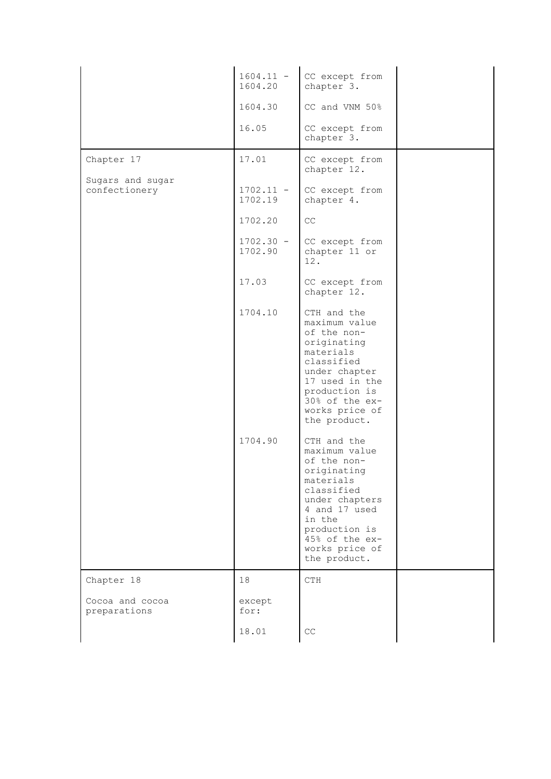|                                   | $1604.11 -$<br>1604.20 | CC except from<br>chapter 3.                                                                                                                                                                            |  |
|-----------------------------------|------------------------|---------------------------------------------------------------------------------------------------------------------------------------------------------------------------------------------------------|--|
|                                   | 1604.30                | CC and VNM 50%                                                                                                                                                                                          |  |
|                                   | 16.05                  | CC except from<br>chapter 3.                                                                                                                                                                            |  |
| Chapter 17                        | 17.01                  | CC except from<br>chapter 12.                                                                                                                                                                           |  |
| Sugars and sugar<br>confectionery | $1702.11 -$<br>1702.19 | CC except from<br>chapter 4.                                                                                                                                                                            |  |
|                                   | 1702.20                | CC                                                                                                                                                                                                      |  |
|                                   | $1702.30 -$<br>1702.90 | CC except from<br>chapter 11 or<br>12.                                                                                                                                                                  |  |
|                                   | 17.03                  | CC except from<br>chapter 12.                                                                                                                                                                           |  |
|                                   | 1704.10                | CTH and the<br>maximum value<br>of the non-<br>originating<br>materials<br>classified<br>under chapter<br>17 used in the<br>production is<br>30% of the ex-<br>works price of<br>the product.           |  |
|                                   | 1704.90                | CTH and the<br>maximum value<br>of the non-<br>originating<br>materials<br>classified<br>under chapters<br>4 and 17 used<br>in the<br>production is<br>45% of the ex-<br>works price of<br>the product. |  |
| Chapter 18                        | 18                     | CTH                                                                                                                                                                                                     |  |
| Cocoa and cocoa<br>preparations   | except<br>for:         |                                                                                                                                                                                                         |  |
|                                   | 18.01                  | CC                                                                                                                                                                                                      |  |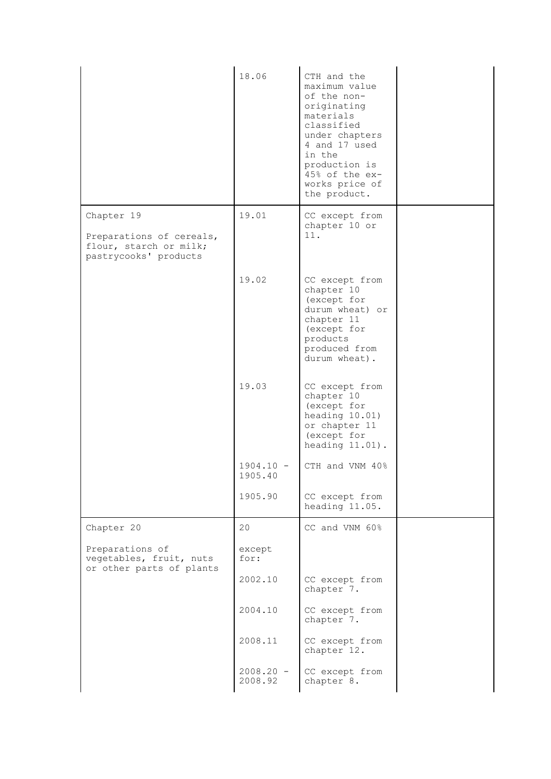|                                                                                           | 18.06                  | CTH and the<br>maximum value<br>of the non-<br>originating<br>materials<br>classified<br>under chapters<br>4 and 17 used<br>in the<br>production is<br>45% of the ex-<br>works price of<br>the product. |  |
|-------------------------------------------------------------------------------------------|------------------------|---------------------------------------------------------------------------------------------------------------------------------------------------------------------------------------------------------|--|
| Chapter 19<br>Preparations of cereals,<br>flour, starch or milk;<br>pastrycooks' products | 19.01                  | CC except from<br>chapter 10 or<br>11.                                                                                                                                                                  |  |
|                                                                                           | 19.02                  | CC except from<br>chapter 10<br>(except for<br>durum wheat) or<br>chapter 11<br>(except for<br>products<br>produced from<br>durum wheat).                                                               |  |
|                                                                                           | 19.03                  | CC except from<br>chapter 10<br>(except for<br>heading 10.01)<br>or chapter 11<br>(except for<br>heading $11.01$ ).                                                                                     |  |
|                                                                                           | $1904.10 -$<br>1905.40 | CTH and VNM 40%                                                                                                                                                                                         |  |
|                                                                                           | 1905.90                | CC except from<br>heading 11.05.                                                                                                                                                                        |  |
| Chapter 20                                                                                | 20                     | CC and VNM 60%                                                                                                                                                                                          |  |
| Preparations of<br>vegetables, fruit, nuts<br>or other parts of plants                    | except<br>for:         |                                                                                                                                                                                                         |  |
|                                                                                           | 2002.10                | CC except from<br>chapter 7.                                                                                                                                                                            |  |
|                                                                                           | 2004.10                | CC except from<br>chapter 7.                                                                                                                                                                            |  |
|                                                                                           | 2008.11                | CC except from<br>chapter 12.                                                                                                                                                                           |  |
|                                                                                           | $2008.20 -$<br>2008.92 | CC except from<br>chapter 8.                                                                                                                                                                            |  |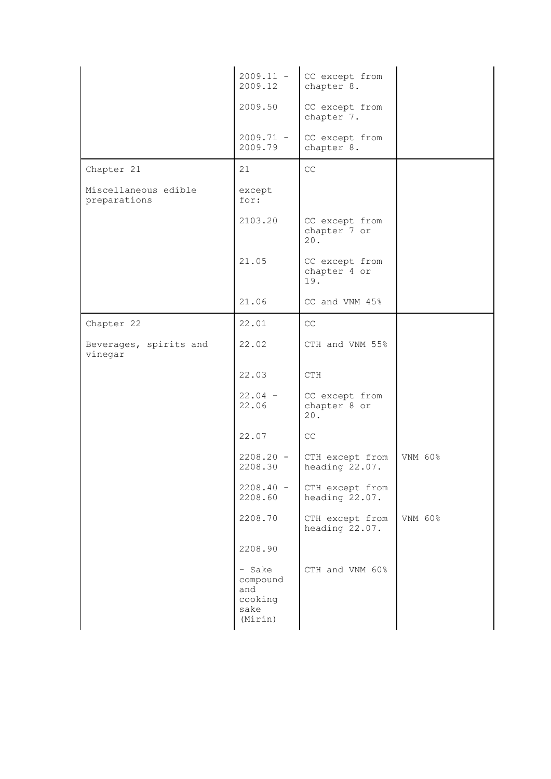|                                      | $2009.11 -$<br>2009.12                                  | CC except from<br>chapter 8.          |         |
|--------------------------------------|---------------------------------------------------------|---------------------------------------|---------|
|                                      | 2009.50                                                 | CC except from<br>chapter 7.          |         |
|                                      | $2009.71 -$<br>2009.79                                  | CC except from<br>chapter 8.          |         |
| Chapter 21                           | 21                                                      | $\mathbb{C}\mathbb{C}$                |         |
| Miscellaneous edible<br>preparations | except<br>for:                                          |                                       |         |
|                                      | 2103.20                                                 | CC except from<br>chapter 7 or<br>20. |         |
|                                      | 21.05                                                   | CC except from<br>chapter 4 or<br>19. |         |
|                                      | 21.06                                                   | CC and VNM 45%                        |         |
| Chapter 22                           | 22.01                                                   | CC                                    |         |
| Beverages, spirits and<br>vinegar    | 22.02                                                   | CTH and VNM 55%                       |         |
|                                      | 22.03                                                   | CTH                                   |         |
|                                      | $22.04 -$<br>22.06                                      | CC except from<br>chapter 8 or<br>20. |         |
|                                      | 22.07                                                   | CC                                    |         |
|                                      | $2208.20 -$<br>2208.30                                  | CTH except from<br>heading 22.07.     | VNM 60% |
|                                      | $2208.40 -$<br>2208.60                                  | CTH except from<br>heading 22.07.     |         |
|                                      | 2208.70                                                 | CTH except from<br>heading 22.07.     | VNM 60% |
|                                      | 2208.90                                                 |                                       |         |
|                                      | - Sake<br>compound<br>and<br>cooking<br>sake<br>(Mirin) | CTH and VNM 60%                       |         |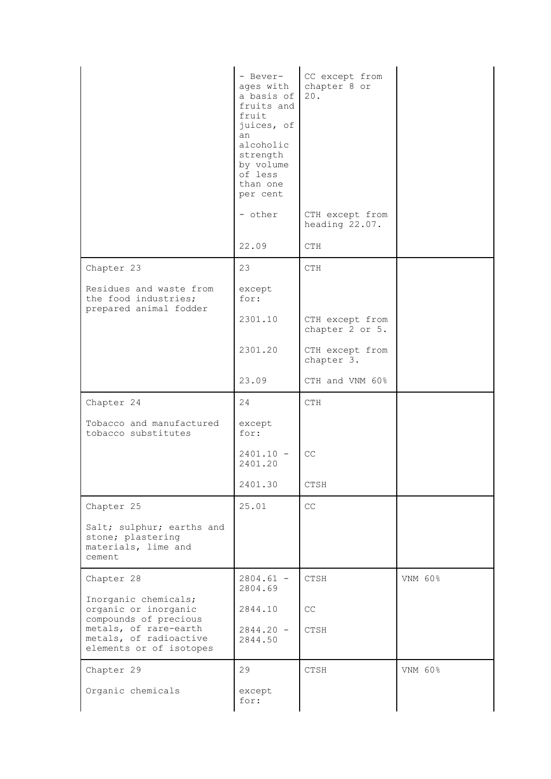|                                                                                                     | - Bever-<br>ages with<br>a basis of<br>fruits and<br>fruit<br>juices, of<br>an<br>alcoholic<br>strength<br>by volume<br>of less<br>than one<br>per cent<br>- other | CC except from<br>chapter 8 or<br>20.<br>CTH except from<br>heading 22.07. |         |
|-----------------------------------------------------------------------------------------------------|--------------------------------------------------------------------------------------------------------------------------------------------------------------------|----------------------------------------------------------------------------|---------|
|                                                                                                     | 22.09                                                                                                                                                              | CTH                                                                        |         |
| Chapter 23                                                                                          | 23                                                                                                                                                                 | CTH                                                                        |         |
| Residues and waste from<br>the food industries;<br>prepared animal fodder                           | except<br>for:                                                                                                                                                     |                                                                            |         |
|                                                                                                     | 2301.10                                                                                                                                                            | CTH except from<br>chapter 2 or 5.                                         |         |
|                                                                                                     | 2301.20                                                                                                                                                            | CTH except from<br>chapter 3.                                              |         |
|                                                                                                     | 23.09                                                                                                                                                              | CTH and VNM 60%                                                            |         |
| Chapter 24                                                                                          | 24                                                                                                                                                                 | <b>CTH</b>                                                                 |         |
|                                                                                                     |                                                                                                                                                                    |                                                                            |         |
| Tobacco and manufactured<br>tobacco substitutes                                                     | except<br>for:                                                                                                                                                     |                                                                            |         |
|                                                                                                     | $2401.10 -$<br>2401.20                                                                                                                                             | CC                                                                         |         |
|                                                                                                     | 2401.30                                                                                                                                                            | CTSH                                                                       |         |
| Chapter 25                                                                                          | 25.01                                                                                                                                                              | CC                                                                         |         |
| Salt; sulphur; earths and<br>stone; plastering<br>materials, lime and<br>cement                     |                                                                                                                                                                    |                                                                            |         |
| Chapter 28                                                                                          | $2804.61 -$                                                                                                                                                        | CTSH                                                                       | VNM 60% |
| Inorganic chemicals;<br>organic or inorganic                                                        | 2804.69<br>2844.10                                                                                                                                                 | CC                                                                         |         |
| compounds of precious<br>metals, of rare-earth<br>metals, of radioactive<br>elements or of isotopes | $2844.20 -$<br>2844.50                                                                                                                                             | CTSH                                                                       |         |
| Chapter 29                                                                                          | 29                                                                                                                                                                 | CTSH                                                                       | VNM 60% |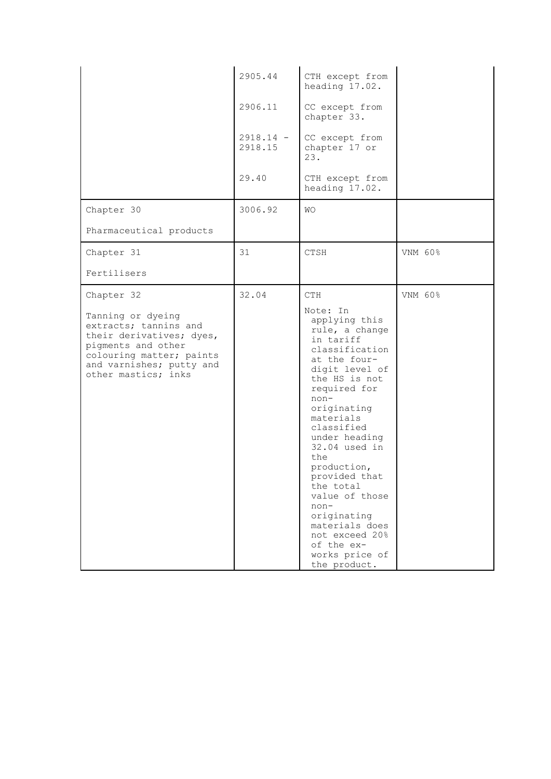| Chapter 30                                                                                                                                                                                | 2905.44<br>2906.11<br>$2918.14 -$<br>2918.15<br>29.40<br>3006.92 | CTH except from<br>heading 17.02.<br>CC except from<br>chapter 33.<br>CC except from<br>chapter 17 or<br>23.<br>CTH except from<br>heading 17.02.<br>WО                                                                                                                                                                                                                                                                                |         |
|-------------------------------------------------------------------------------------------------------------------------------------------------------------------------------------------|------------------------------------------------------------------|----------------------------------------------------------------------------------------------------------------------------------------------------------------------------------------------------------------------------------------------------------------------------------------------------------------------------------------------------------------------------------------------------------------------------------------|---------|
| Pharmaceutical products                                                                                                                                                                   |                                                                  |                                                                                                                                                                                                                                                                                                                                                                                                                                        |         |
| Chapter 31                                                                                                                                                                                | 31                                                               | CTSH                                                                                                                                                                                                                                                                                                                                                                                                                                   | VNM 60% |
| Fertilisers                                                                                                                                                                               |                                                                  |                                                                                                                                                                                                                                                                                                                                                                                                                                        |         |
| Chapter 32<br>Tanning or dyeing<br>extracts; tannins and<br>their derivatives; dyes,<br>pigments and other<br>colouring matter; paints<br>and varnishes; putty and<br>other mastics; inks | 32.04                                                            | <b>CTH</b><br>Note: In<br>applying this<br>rule, a change<br>in tariff<br>classification<br>at the four-<br>digit level of<br>the HS is not<br>required for<br>$non-$<br>originating<br>materials<br>classified<br>under heading<br>$32.04$ used in<br>the<br>production,<br>provided that<br>the total<br>value of those<br>$non-$<br>originating<br>materials does<br>not exceed 20%<br>of the ex-<br>works price of<br>the product. | VNM 60% |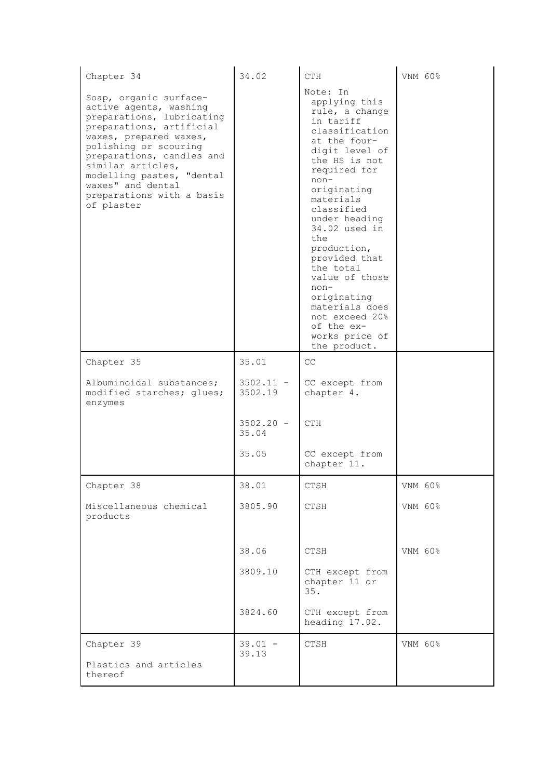| Chapter 34                                                                                                                                                                                                                                                                                                  | 34.02                  | CTH                                                                                                                                                                                                                                                                                                                                                                                                                    | VNM 60% |
|-------------------------------------------------------------------------------------------------------------------------------------------------------------------------------------------------------------------------------------------------------------------------------------------------------------|------------------------|------------------------------------------------------------------------------------------------------------------------------------------------------------------------------------------------------------------------------------------------------------------------------------------------------------------------------------------------------------------------------------------------------------------------|---------|
| Soap, organic surface-<br>active agents, washing<br>preparations, lubricating<br>preparations, artificial<br>waxes, prepared waxes,<br>polishing or scouring<br>preparations, candles and<br>similar articles,<br>modelling pastes, "dental<br>waxes" and dental<br>preparations with a basis<br>of plaster |                        | Note: In<br>applying this<br>rule, a change<br>in tariff<br>classification<br>at the four-<br>digit level of<br>the HS is not<br>required for<br>$non-$<br>originating<br>materials<br>classified<br>under heading<br>34.02 used in<br>the<br>production,<br>provided that<br>the total<br>value of those<br>$non-$<br>originating<br>materials does<br>not exceed 20%<br>of the ex-<br>works price of<br>the product. |         |
| Chapter 35                                                                                                                                                                                                                                                                                                  | 35.01                  | CC                                                                                                                                                                                                                                                                                                                                                                                                                     |         |
| Albuminoidal substances;<br>modified starches; glues;<br>enzymes                                                                                                                                                                                                                                            | $3502.11 -$<br>3502.19 | CC except from<br>chapter 4.                                                                                                                                                                                                                                                                                                                                                                                           |         |
|                                                                                                                                                                                                                                                                                                             | $3502.20 -$<br>35.04   | <b>CTH</b>                                                                                                                                                                                                                                                                                                                                                                                                             |         |
|                                                                                                                                                                                                                                                                                                             | 35.05                  | CC except from<br>chapter 11.                                                                                                                                                                                                                                                                                                                                                                                          |         |
| Chapter 38                                                                                                                                                                                                                                                                                                  | 38.01                  | CTSH                                                                                                                                                                                                                                                                                                                                                                                                                   | VNM 60% |
| Miscellaneous chemical<br>products                                                                                                                                                                                                                                                                          | 3805.90                | CTSH                                                                                                                                                                                                                                                                                                                                                                                                                   | VNM 60% |
|                                                                                                                                                                                                                                                                                                             | 38.06                  | CTSH                                                                                                                                                                                                                                                                                                                                                                                                                   | VNM 60% |
|                                                                                                                                                                                                                                                                                                             | 3809.10                | CTH except from<br>chapter 11 or<br>35.                                                                                                                                                                                                                                                                                                                                                                                |         |
|                                                                                                                                                                                                                                                                                                             | 3824.60                | CTH except from<br>heading 17.02.                                                                                                                                                                                                                                                                                                                                                                                      |         |
| Chapter 39                                                                                                                                                                                                                                                                                                  | $39.01 -$<br>39.13     | CTSH                                                                                                                                                                                                                                                                                                                                                                                                                   | VNM 60% |
| Plastics and articles<br>thereof                                                                                                                                                                                                                                                                            |                        |                                                                                                                                                                                                                                                                                                                                                                                                                        |         |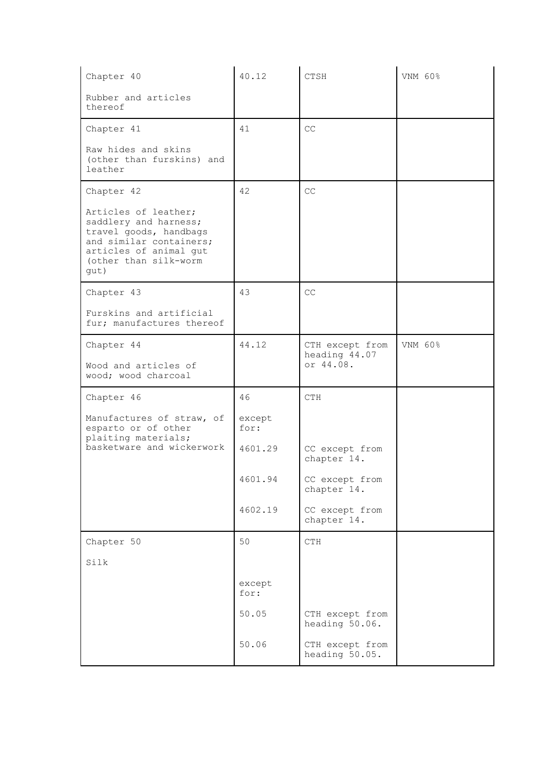| Chapter 40                                                                                                                                                    | 40.12          | CTSH                              | VNM 60% |
|---------------------------------------------------------------------------------------------------------------------------------------------------------------|----------------|-----------------------------------|---------|
| Rubber and articles<br>thereof                                                                                                                                |                |                                   |         |
| Chapter 41                                                                                                                                                    | 41             | CC                                |         |
| Raw hides and skins<br>(other than furskins) and<br>leather                                                                                                   |                |                                   |         |
| Chapter 42                                                                                                                                                    | 42             | CC                                |         |
| Articles of leather;<br>saddlery and harness;<br>travel goods, handbags<br>and similar containers;<br>articles of animal gut<br>(other than silk-worm<br>qut) |                |                                   |         |
| Chapter 43                                                                                                                                                    | 43             | CC                                |         |
| Furskins and artificial<br>fur; manufactures thereof                                                                                                          |                |                                   |         |
| Chapter 44                                                                                                                                                    | 44.12          | CTH except from<br>heading 44.07  | VNM 60% |
| Wood and articles of<br>wood; wood charcoal                                                                                                                   |                | or 44.08.                         |         |
| Chapter 46                                                                                                                                                    | 46             | CTH                               |         |
| Manufactures of straw, of<br>esparto or of other<br>plaiting materials;                                                                                       | except<br>for: |                                   |         |
| basketware and wickerwork                                                                                                                                     | 4601.29        | CC except from<br>chapter 14.     |         |
|                                                                                                                                                               | 4601.94        | CC except from<br>chapter 14.     |         |
|                                                                                                                                                               | 4602.19        | CC except from<br>chapter 14.     |         |
| Chapter 50                                                                                                                                                    | 50             | CTH                               |         |
| Silk                                                                                                                                                          |                |                                   |         |
|                                                                                                                                                               | except<br>for: |                                   |         |
|                                                                                                                                                               | 50.05          | CTH except from<br>heading 50.06. |         |
|                                                                                                                                                               | 50.06          | CTH except from<br>heading 50.05. |         |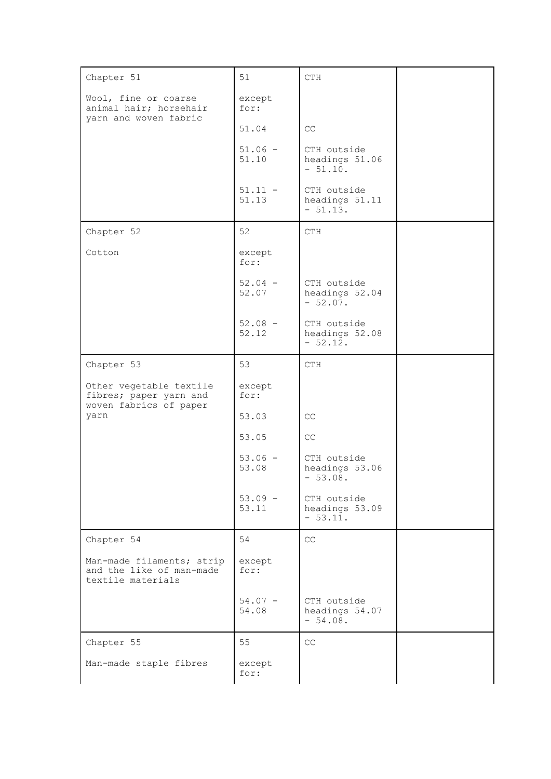| Chapter 51                                                                  | 51                 | CTH                                        |  |
|-----------------------------------------------------------------------------|--------------------|--------------------------------------------|--|
| Wool, fine or coarse<br>animal hair; horsehair<br>yarn and woven fabric     | except<br>for:     |                                            |  |
|                                                                             | 51.04              | CC                                         |  |
|                                                                             | $51.06 -$<br>51.10 | CTH outside<br>headings 51.06<br>$-51.10.$ |  |
|                                                                             | $51.11 -$<br>51.13 | CTH outside<br>headings 51.11<br>$-51.13.$ |  |
| Chapter 52                                                                  | 52                 | CTH                                        |  |
| Cotton                                                                      | except<br>for:     |                                            |  |
|                                                                             | $52.04 -$<br>52.07 | CTH outside<br>headings 52.04<br>$-52.07.$ |  |
|                                                                             | $52.08 -$<br>52.12 | CTH outside<br>headings 52.08<br>$-52.12.$ |  |
| Chapter 53                                                                  | 53                 | CTH                                        |  |
| Other vegetable textile<br>fibres; paper yarn and<br>woven fabrics of paper | except<br>for:     |                                            |  |
| yarn                                                                        | 53.03              | CC                                         |  |
|                                                                             | 53.05              | $\mathbb{C}\mathbb{C}$                     |  |
|                                                                             | $53.06 -$<br>53.08 | CTH outside<br>headings 53.06<br>$-53.08.$ |  |
|                                                                             | $53.09 -$<br>53.11 | CTH outside<br>headings 53.09<br>$-53.11.$ |  |
| Chapter 54                                                                  | 54                 | CC                                         |  |
| Man-made filaments; strip<br>and the like of man-made<br>textile materials  | except<br>for:     |                                            |  |
|                                                                             | $54.07 -$<br>54.08 | CTH outside<br>headings 54.07<br>$-54.08.$ |  |
| Chapter 55                                                                  | 55                 | CC                                         |  |
| Man-made staple fibres                                                      | except<br>for:     |                                            |  |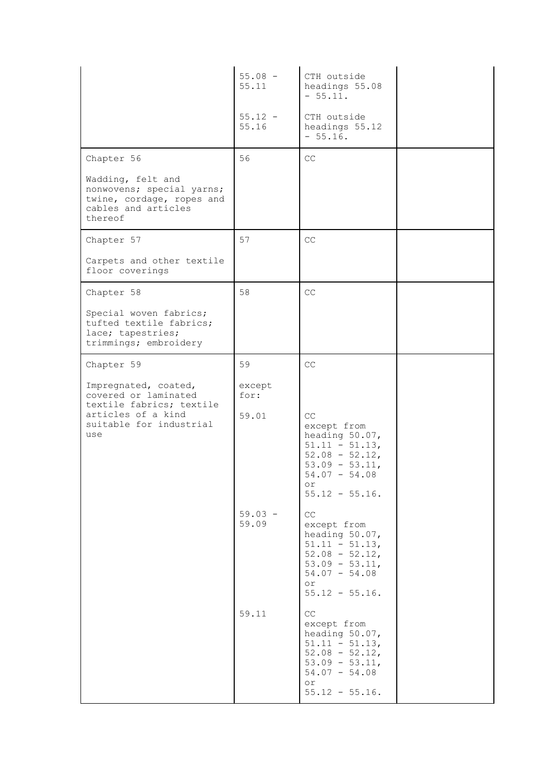|                                                                                                                                  | $55.08 -$<br>55.11      | CTH outside<br>headings 55.08<br>$-55.11.$                                                                                                                           |  |
|----------------------------------------------------------------------------------------------------------------------------------|-------------------------|----------------------------------------------------------------------------------------------------------------------------------------------------------------------|--|
|                                                                                                                                  | $55.12 -$<br>55.16      | CTH outside<br>headings 55.12<br>$-55.16.$                                                                                                                           |  |
| Chapter 56                                                                                                                       | 56                      | CC                                                                                                                                                                   |  |
| Wadding, felt and<br>nonwovens; special yarns;<br>twine, cordage, ropes and<br>cables and articles<br>thereof                    |                         |                                                                                                                                                                      |  |
| Chapter 57                                                                                                                       | 57                      | $\mathbb{C}\mathbb{C}$                                                                                                                                               |  |
| Carpets and other textile<br>floor coverings                                                                                     |                         |                                                                                                                                                                      |  |
| Chapter 58                                                                                                                       | 58                      | $\mathbb{C}\mathbb{C}$                                                                                                                                               |  |
| Special woven fabrics;<br>tufted textile fabrics;<br>lace; tapestries;<br>trimmings; embroidery                                  |                         |                                                                                                                                                                      |  |
| Chapter 59                                                                                                                       | 59                      | CC                                                                                                                                                                   |  |
| Impregnated, coated,<br>covered or laminated<br>textile fabrics; textile<br>articles of a kind<br>suitable for industrial<br>use | except<br>for:<br>59.01 | CC<br>except from<br>heading 50.07,<br>$51.11 - 51.13$ ,<br>$52.08 - 52.12$<br>$53.09 - 53.11$ ,<br>$54.07 - 54.08$<br>or<br>$55.12 - 55.16$ .                       |  |
|                                                                                                                                  | $59.03 -$<br>59.09      | $\mathbb{C}\mathbb{C}$<br>except from<br>heading 50.07,<br>$51.11 - 51.13$ ,<br>$52.08 - 52.12$<br>$53.09 - 53.11$ ,<br>$54.07 - 54.08$<br>or<br>$55.12 - 55.16$ .   |  |
|                                                                                                                                  | 59.11                   | $\mathbb{C}\mathbb{C}$<br>except from<br>heading 50.07,<br>$51.11 - 51.13$ ,<br>$52.08 - 52.12$ ,<br>$53.09 - 53.11$ ,<br>$54.07 - 54.08$<br>or<br>$55.12 - 55.16$ . |  |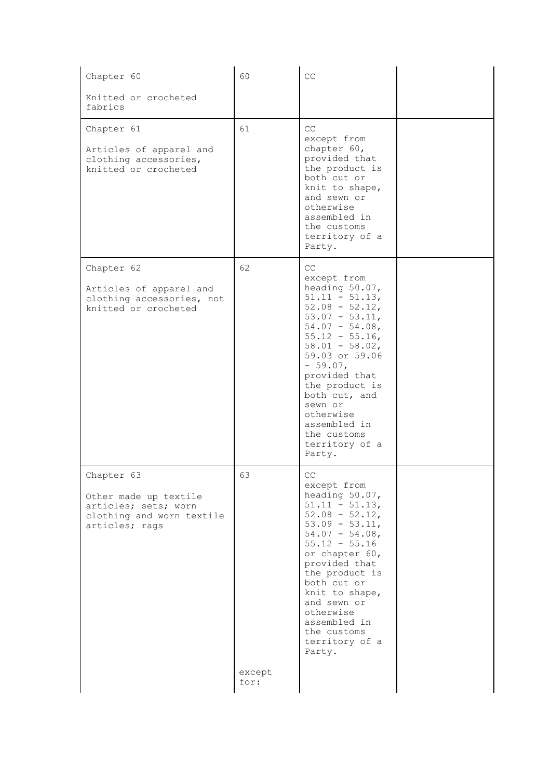| Chapter 60                                                                                                 | 60                   | CC                                                                                                                                                                                                                                                                                                                                  |  |
|------------------------------------------------------------------------------------------------------------|----------------------|-------------------------------------------------------------------------------------------------------------------------------------------------------------------------------------------------------------------------------------------------------------------------------------------------------------------------------------|--|
| Knitted or crocheted<br>fabrics                                                                            |                      |                                                                                                                                                                                                                                                                                                                                     |  |
| Chapter 61<br>Articles of apparel and<br>clothing accessories,<br>knitted or crocheted                     | 61                   | CC<br>except from<br>chapter 60,<br>provided that<br>the product is<br>both cut or<br>knit to shape,<br>and sewn or<br>otherwise<br>assembled in<br>the customs<br>territory of a<br>Party.                                                                                                                                         |  |
| Chapter 62<br>Articles of apparel and<br>clothing accessories, not<br>knitted or crocheted                 | 62                   | CC<br>except from<br>heading 50.07,<br>$51.11 - 51.13$ ,<br>$52.08 - 52.12$<br>$53.07 - 53.11$ ,<br>$54.07 - 54.08$<br>$55.12 - 55.16$ ,<br>$58.01 - 58.02$ ,<br>59.03 or 59.06<br>$-59.07,$<br>provided that<br>the product is<br>both cut, and<br>sewn or<br>otherwise<br>assembled in<br>the customs<br>territory of a<br>Party. |  |
| Chapter 63<br>Other made up textile<br>articles; sets; worn<br>clothing and worn textile<br>articles; rags | 63<br>except<br>for: | CC<br>except from<br>heading 50.07,<br>$51.11 - 51.13$ ,<br>$52.08 - 52.12$<br>$53.09 - 53.11$ ,<br>$54.07 - 54.08$<br>$55.12 - 55.16$<br>or chapter 60,<br>provided that<br>the product is<br>both cut or<br>knit to shape,<br>and sewn or<br>otherwise<br>assembled in<br>the customs<br>territory of a<br>Party.                 |  |
|                                                                                                            |                      |                                                                                                                                                                                                                                                                                                                                     |  |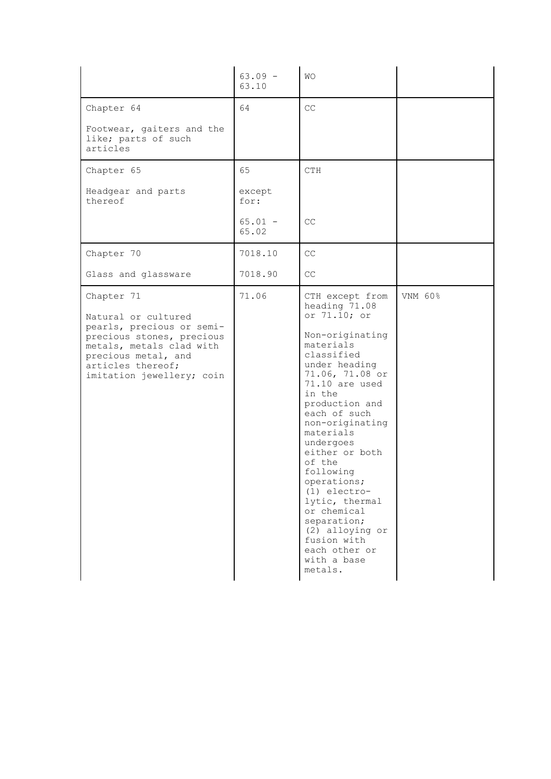|                                                                                                                                                                                                  | $63.09 -$<br>63.10 | <b>WO</b>                                                                                                                                                                                                                                                                                                                                                                                                                                            |         |
|--------------------------------------------------------------------------------------------------------------------------------------------------------------------------------------------------|--------------------|------------------------------------------------------------------------------------------------------------------------------------------------------------------------------------------------------------------------------------------------------------------------------------------------------------------------------------------------------------------------------------------------------------------------------------------------------|---------|
| Chapter 64                                                                                                                                                                                       | 64                 | CC                                                                                                                                                                                                                                                                                                                                                                                                                                                   |         |
| Footwear, gaiters and the<br>like; parts of such<br>articles                                                                                                                                     |                    |                                                                                                                                                                                                                                                                                                                                                                                                                                                      |         |
| Chapter 65                                                                                                                                                                                       | 65                 | <b>CTH</b>                                                                                                                                                                                                                                                                                                                                                                                                                                           |         |
| Headgear and parts<br>thereof                                                                                                                                                                    | except<br>for:     |                                                                                                                                                                                                                                                                                                                                                                                                                                                      |         |
|                                                                                                                                                                                                  | $65.01 -$<br>65.02 | CC                                                                                                                                                                                                                                                                                                                                                                                                                                                   |         |
| Chapter 70                                                                                                                                                                                       | 7018.10            | CC                                                                                                                                                                                                                                                                                                                                                                                                                                                   |         |
| Glass and glassware                                                                                                                                                                              | 7018.90            | CC                                                                                                                                                                                                                                                                                                                                                                                                                                                   |         |
| Chapter 71<br>Natural or cultured<br>pearls, precious or semi-<br>precious stones, precious<br>metals, metals clad with<br>precious metal, and<br>articles thereof;<br>imitation jewellery; coin | 71.06              | CTH except from<br>heading 71.08<br>or 71.10; or<br>Non-originating<br>materials<br>classified<br>under heading<br>71.06, 71.08 or<br>71.10 are used<br>in the<br>production and<br>each of such<br>non-originating<br>materials<br>undergoes<br>either or both<br>of the<br>following<br>operations;<br>$(1)$ electro-<br>lytic, thermal<br>or chemical<br>separation;<br>(2) alloying or<br>fusion with<br>each other or<br>with a base<br>metals. | VNM 60% |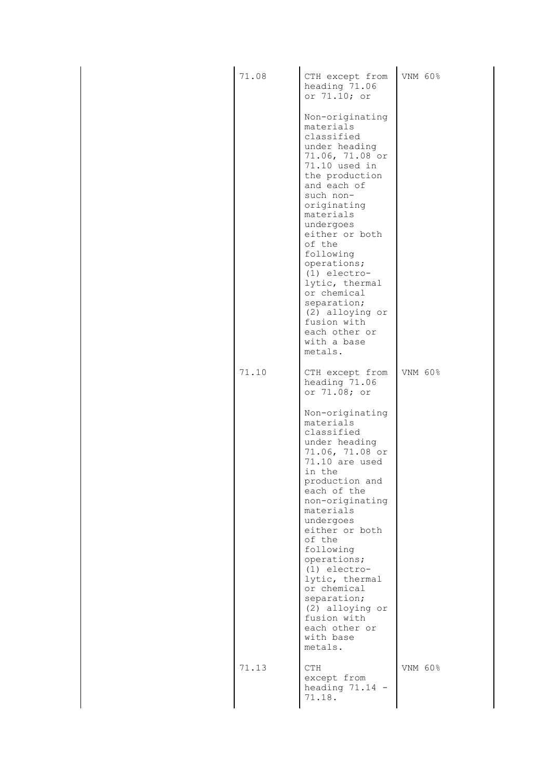| 71.08 | CTH except from<br>heading 71.06<br>or 71.10; or                                                                                                                                                                                                                                                                                                                                              | VNM 60% |
|-------|-----------------------------------------------------------------------------------------------------------------------------------------------------------------------------------------------------------------------------------------------------------------------------------------------------------------------------------------------------------------------------------------------|---------|
|       | Non-originating<br>materials<br>classified<br>under heading<br>71.06, 71.08 or<br>71.10 used in<br>the production<br>and each of<br>such non-<br>originating<br>materials<br>undergoes<br>either or both<br>of the<br>following<br>operations;<br>$(1)$ electro-<br>lytic, thermal<br>or chemical<br>separation;<br>(2) alloying or<br>fusion with<br>each other or<br>with a base<br>metals. |         |
| 71.10 | CTH except from<br>heading 71.06<br>or 71.08; or                                                                                                                                                                                                                                                                                                                                              | VNM 60% |
|       | Non-originating<br>materials<br>classified<br>under heading<br>71.06, 71.08 or<br>71.10 are used<br>in the<br>production and<br>each of the<br>non-originating<br>materials<br>undergoes<br>either or both<br>of the<br>following<br>operations;<br>$(1)$ electro-<br>lytic, thermal<br>or chemical<br>separation;<br>(2) alloying or<br>fusion with<br>each other or<br>with base<br>metals. |         |
| 71.13 | <b>CTH</b><br>except from<br>heading $71.14 -$<br>71.18.                                                                                                                                                                                                                                                                                                                                      | VNM 60% |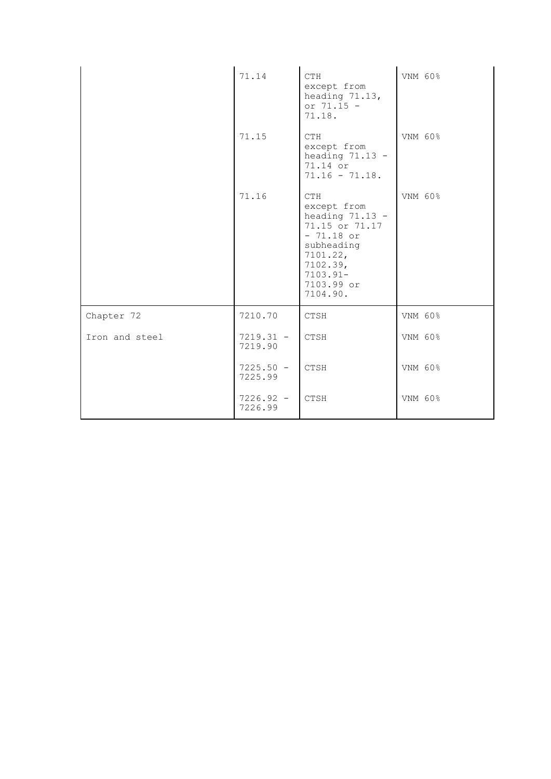|                | 71.14                  | <b>CTH</b><br>except from<br>heading 71.13,<br>or $71.15 -$<br>71.18.                                                                                             | VNM 60% |
|----------------|------------------------|-------------------------------------------------------------------------------------------------------------------------------------------------------------------|---------|
|                | 71.15                  | <b>CTH</b><br>except from<br>heading $71.13 -$<br>71.14 or<br>$71.16 - 71.18.$                                                                                    | VNM 60% |
|                | 71.16                  | <b>CTH</b><br>except from<br>heading $71.13 -$<br>71.15 or 71.17<br>$-71.18$ or<br>subheading<br>$7101.22$ ,<br>7102.39,<br>$7103.91 -$<br>7103.99 or<br>7104.90. | VNM 60% |
| Chapter 72     | 7210.70                | <b>CTSH</b>                                                                                                                                                       | VNM 60% |
| Iron and steel | $7219.31 -$<br>7219.90 | CTSH                                                                                                                                                              | VNM 60% |
|                | $7225.50 -$<br>7225.99 | CTSH                                                                                                                                                              | VNM 60% |
|                | $7226.92 -$<br>7226.99 | CTSH                                                                                                                                                              | VNM 60% |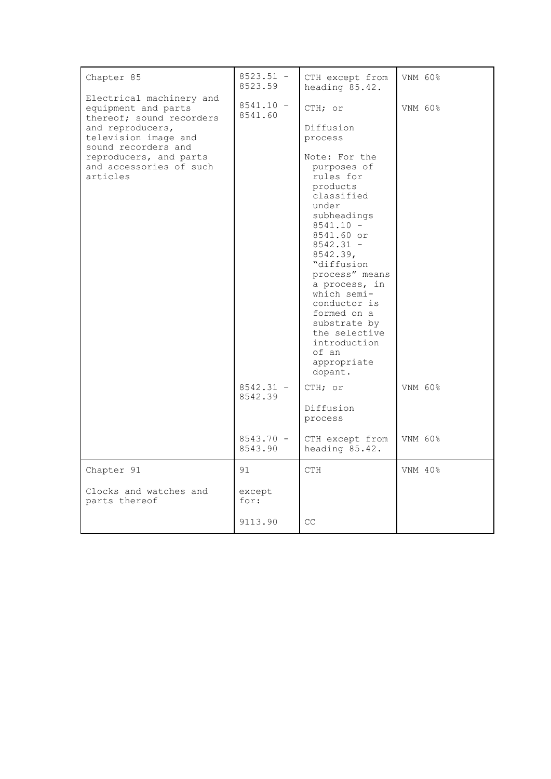| Chapter 85                                                                                                                                                                                                      | $8523.51 -$<br>8523.59                                                     | CTH except from<br>heading 85.42.                                                                                                                                                                                                                                                                                                                                                                                               | VNM 60%                       |
|-----------------------------------------------------------------------------------------------------------------------------------------------------------------------------------------------------------------|----------------------------------------------------------------------------|---------------------------------------------------------------------------------------------------------------------------------------------------------------------------------------------------------------------------------------------------------------------------------------------------------------------------------------------------------------------------------------------------------------------------------|-------------------------------|
| Electrical machinery and<br>equipment and parts<br>thereof; sound recorders<br>and reproducers,<br>television image and<br>sound recorders and<br>reproducers, and parts<br>and accessories of such<br>articles | $8541.10 -$<br>8541.60<br>$8542.31 -$<br>8542.39<br>$8543.70 -$<br>8543.90 | CTH; or<br>Diffusion<br>process<br>Note: For the<br>purposes of<br>rules for<br>products<br>classified<br>under<br>subheadings<br>$8541.10 -$<br>8541.60 or<br>$8542.31 -$<br>8542.39,<br>"diffusion<br>process" means<br>a process, in<br>which semi-<br>conductor is<br>formed on a<br>substrate by<br>the selective<br>introduction<br>of an<br>appropriate<br>dopant.<br>CTH; or<br>Diffusion<br>process<br>CTH except from | VNM 60%<br>VNM 60%<br>VNM 60% |
|                                                                                                                                                                                                                 |                                                                            | heading 85.42.                                                                                                                                                                                                                                                                                                                                                                                                                  |                               |
| Chapter 91                                                                                                                                                                                                      | 91                                                                         | <b>CTH</b>                                                                                                                                                                                                                                                                                                                                                                                                                      | VNM 40%                       |
| Clocks and watches and<br>parts thereof                                                                                                                                                                         | except<br>for:                                                             |                                                                                                                                                                                                                                                                                                                                                                                                                                 |                               |
|                                                                                                                                                                                                                 | 9113.90                                                                    | CC                                                                                                                                                                                                                                                                                                                                                                                                                              |                               |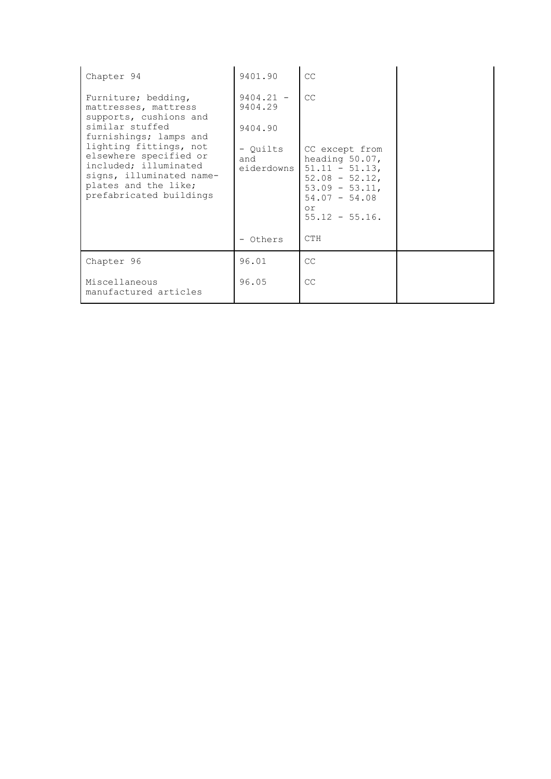| Chapter 94                                                                                                                                               | 9401.90                       | CC                                                                                                                                          |  |
|----------------------------------------------------------------------------------------------------------------------------------------------------------|-------------------------------|---------------------------------------------------------------------------------------------------------------------------------------------|--|
| Furniture; bedding,<br>mattresses, mattress<br>supports, cushions and                                                                                    | $9404.21 -$<br>9404.29        | CC                                                                                                                                          |  |
| similar stuffed<br>furnishings; lamps and                                                                                                                | 9404.90                       |                                                                                                                                             |  |
| lighting fittings, not<br>elsewhere specified or<br>included; illuminated<br>signs, illuminated name-<br>plates and the like;<br>prefabricated buildings | - Ouilts<br>and<br>eiderdowns | CC except from<br>heading 50.07,<br>$51.11 - 51.13$ ,<br>$52.08 - 52.12$<br>$53.09 - 53.11$ ,<br>$54.07 - 54.08$<br>or<br>$55.12 - 55.16$ . |  |
|                                                                                                                                                          | - Others                      | <b>CTH</b>                                                                                                                                  |  |
| Chapter 96                                                                                                                                               | 96.01                         | CC                                                                                                                                          |  |
| Miscellaneous<br>manufactured articles                                                                                                                   | 96.05                         | CC                                                                                                                                          |  |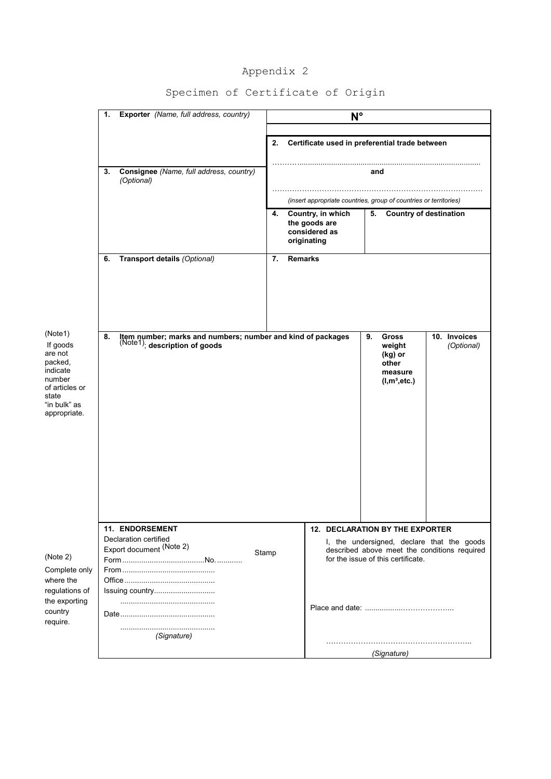# Appendix 2

|                                                                                                                            | Exporter (Name, full address, country)<br>1.                                                       | $N^{\circ}$                                                                                                                               |
|----------------------------------------------------------------------------------------------------------------------------|----------------------------------------------------------------------------------------------------|-------------------------------------------------------------------------------------------------------------------------------------------|
|                                                                                                                            |                                                                                                    | 2.<br>Certificate used in preferential trade between                                                                                      |
|                                                                                                                            | Consignee (Name, full address, country)<br>3.<br>(Optional)                                        | and                                                                                                                                       |
|                                                                                                                            |                                                                                                    | (insert appropriate countries, group of countries or territories)                                                                         |
|                                                                                                                            |                                                                                                    | Country, in which<br>5.<br><b>Country of destination</b><br>4.<br>the goods are<br>considered as<br>originating                           |
|                                                                                                                            | Transport details (Optional)<br>6.                                                                 | <b>Remarks</b><br>7.                                                                                                                      |
| (Note1)<br>If goods<br>are not<br>packed,<br>indicate<br>number<br>of articles or<br>state<br>"in bulk" as<br>appropriate. | Item number; marks and numbers; number and kind of packages<br>8.<br>(Note1); description of goods | <b>Gross</b><br>10. Invoices<br>9.<br>(Optional)<br>weight<br>(kg) or<br>other<br>measure<br>$(l,m^3,etc.)$                               |
|                                                                                                                            |                                                                                                    |                                                                                                                                           |
|                                                                                                                            | <b>11. ENDORSEMENT</b><br>Declaration certified                                                    | <b>12. DECLARATION BY THE EXPORTER</b>                                                                                                    |
| (Note 2)<br>Complete only                                                                                                  | Export document (Note 2)                                                                           | I, the undersigned, declare that the goods<br>described above meet the conditions required<br>Stamp<br>for the issue of this certificate. |
| where the<br>regulations of<br>the exporting<br>country<br>require.                                                        | Issuing country                                                                                    |                                                                                                                                           |
|                                                                                                                            | (Signature)                                                                                        |                                                                                                                                           |
|                                                                                                                            |                                                                                                    | (Signature)                                                                                                                               |

# Specimen of Certificate of Origin